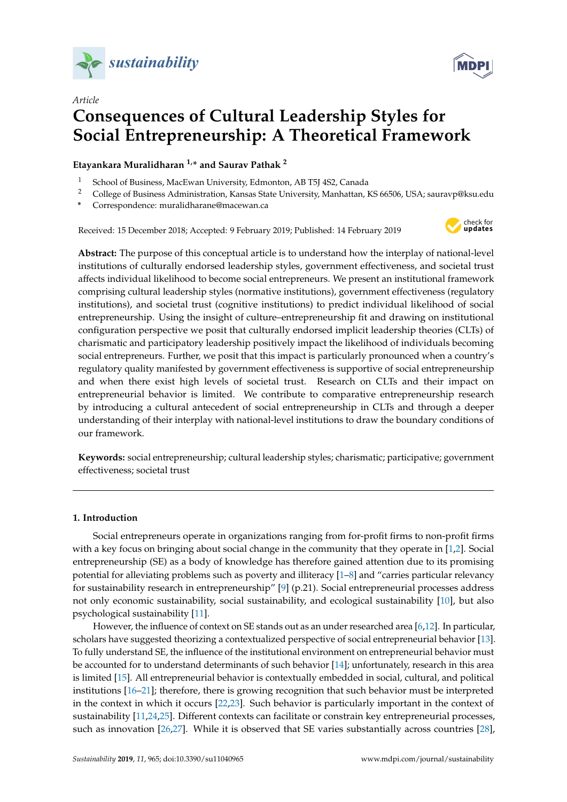



# *Article* **Consequences of Cultural Leadership Styles for Social Entrepreneurship: A Theoretical Framework**

# **Etayankara Muralidharan 1,\* and Saurav Pathak <sup>2</sup>**

- <sup>1</sup> School of Business, MacEwan University, Edmonton, AB T5J 4S2, Canada
- <sup>2</sup> College of Business Administration, Kansas State University, Manhattan, KS 66506, USA; sauravp@ksu.edu
- **\*** Correspondence: muralidharane@macewan.ca

Received: 15 December 2018; Accepted: 9 February 2019; Published: 14 February 2019



**Abstract:** The purpose of this conceptual article is to understand how the interplay of national-level institutions of culturally endorsed leadership styles, government effectiveness, and societal trust affects individual likelihood to become social entrepreneurs. We present an institutional framework comprising cultural leadership styles (normative institutions), government effectiveness (regulatory institutions), and societal trust (cognitive institutions) to predict individual likelihood of social entrepreneurship. Using the insight of culture–entrepreneurship fit and drawing on institutional configuration perspective we posit that culturally endorsed implicit leadership theories (CLTs) of charismatic and participatory leadership positively impact the likelihood of individuals becoming social entrepreneurs. Further, we posit that this impact is particularly pronounced when a country's regulatory quality manifested by government effectiveness is supportive of social entrepreneurship and when there exist high levels of societal trust. Research on CLTs and their impact on entrepreneurial behavior is limited. We contribute to comparative entrepreneurship research by introducing a cultural antecedent of social entrepreneurship in CLTs and through a deeper understanding of their interplay with national-level institutions to draw the boundary conditions of our framework.

**Keywords:** social entrepreneurship; cultural leadership styles; charismatic; participative; government effectiveness; societal trust

# **1. Introduction**

Social entrepreneurs operate in organizations ranging from for-profit firms to non-profit firms with a key focus on bringing about social change in the community that they operate in [\[1,](#page-12-0)[2\]](#page-12-1). Social entrepreneurship (SE) as a body of knowledge has therefore gained attention due to its promising potential for alleviating problems such as poverty and illiteracy [\[1–](#page-12-0)[8\]](#page-13-0) and "carries particular relevancy for sustainability research in entrepreneurship" [\[9\]](#page-13-1) (p.21). Social entrepreneurial processes address not only economic sustainability, social sustainability, and ecological sustainability [\[10\]](#page-13-2), but also psychological sustainability [\[11\]](#page-13-3).

However, the influence of context on SE stands out as an under researched area [\[6](#page-12-2)[,12\]](#page-13-4). In particular, scholars have suggested theorizing a contextualized perspective of social entrepreneurial behavior [\[13\]](#page-13-5). To fully understand SE, the influence of the institutional environment on entrepreneurial behavior must be accounted for to understand determinants of such behavior [\[14\]](#page-13-6); unfortunately, research in this area is limited [\[15\]](#page-13-7). All entrepreneurial behavior is contextually embedded in social, cultural, and political institutions [\[16–](#page-13-8)[21\]](#page-13-9); therefore, there is growing recognition that such behavior must be interpreted in the context in which it occurs [\[22,](#page-13-10)[23\]](#page-13-11). Such behavior is particularly important in the context of sustainability [\[11](#page-13-3)[,24](#page-13-12)[,25\]](#page-13-13). Different contexts can facilitate or constrain key entrepreneurial processes, such as innovation [\[26,](#page-13-14)[27\]](#page-13-15). While it is observed that SE varies substantially across countries [\[28\]](#page-13-16),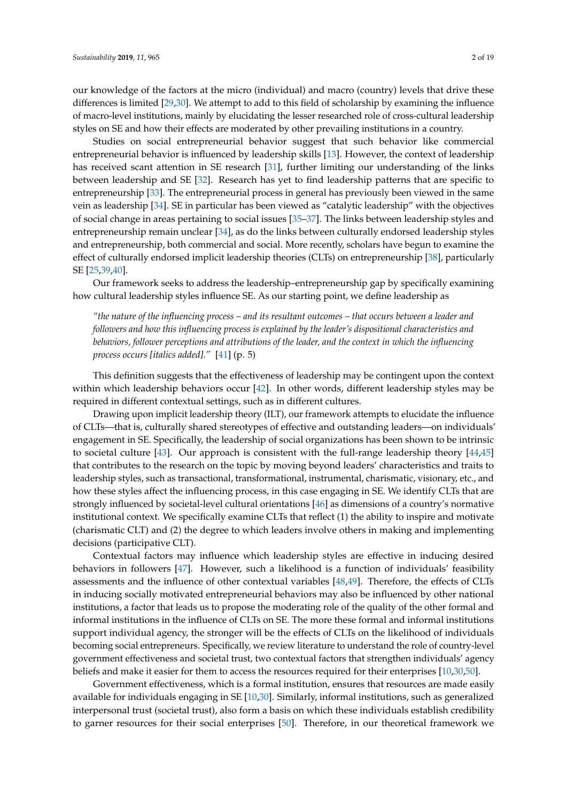our knowledge of the factors at the micro (individual) and macro (country) levels that drive these differences is limited [\[29](#page-13-17)[,30\]](#page-13-18). We attempt to add to this field of scholarship by examining the influence of macro-level institutions, mainly by elucidating the lesser researched role of cross-cultural leadership styles on SE and how their effects are moderated by other prevailing institutions in a country.

Studies on social entrepreneurial behavior suggest that such behavior like commercial entrepreneurial behavior is influenced by leadership skills [\[13\]](#page-13-5). However, the context of leadership has received scant attention in SE research [\[31\]](#page-14-0), further limiting our understanding of the links between leadership and SE [\[32\]](#page-14-1). Research has yet to find leadership patterns that are specific to entrepreneurship [\[33\]](#page-14-2). The entrepreneurial process in general has previously been viewed in the same vein as leadership [\[34\]](#page-14-3). SE in particular has been viewed as "catalytic leadership" with the objectives of social change in areas pertaining to social issues [\[35–](#page-14-4)[37\]](#page-14-5). The links between leadership styles and entrepreneurship remain unclear [\[34\]](#page-14-3), as do the links between culturally endorsed leadership styles and entrepreneurship, both commercial and social. More recently, scholars have begun to examine the effect of culturally endorsed implicit leadership theories (CLTs) on entrepreneurship [\[38\]](#page-14-6), particularly SE [\[25,](#page-13-13)[39,](#page-14-7)[40\]](#page-14-8).

Our framework seeks to address the leadership–entrepreneurship gap by specifically examining how cultural leadership styles influence SE. As our starting point, we define leadership as

*"the nature of the influencing process – and its resultant outcomes – that occurs between a leader and followers and how this influencing process is explained by the leader's dispositional characteristics and behaviors, follower perceptions and attributions of the leader, and the context in which the influencing process occurs [italics added]."* [\[41\]](#page-14-9) (p. 5)

This definition suggests that the effectiveness of leadership may be contingent upon the context within which leadership behaviors occur [\[42\]](#page-14-10). In other words, different leadership styles may be required in different contextual settings, such as in different cultures.

Drawing upon implicit leadership theory (ILT), our framework attempts to elucidate the influence of CLTs—that is, culturally shared stereotypes of effective and outstanding leaders—on individuals' engagement in SE. Specifically, the leadership of social organizations has been shown to be intrinsic to societal culture [\[43\]](#page-14-11). Our approach is consistent with the full-range leadership theory [\[44](#page-14-12)[,45\]](#page-14-13) that contributes to the research on the topic by moving beyond leaders' characteristics and traits to leadership styles, such as transactional, transformational, instrumental, charismatic, visionary, etc., and how these styles affect the influencing process, in this case engaging in SE. We identify CLTs that are strongly influenced by societal-level cultural orientations [\[46\]](#page-14-14) as dimensions of a country's normative institutional context. We specifically examine CLTs that reflect (1) the ability to inspire and motivate (charismatic CLT) and (2) the degree to which leaders involve others in making and implementing decisions (participative CLT).

Contextual factors may influence which leadership styles are effective in inducing desired behaviors in followers [\[47\]](#page-14-15). However, such a likelihood is a function of individuals' feasibility assessments and the influence of other contextual variables [\[48,](#page-14-16)[49\]](#page-14-17). Therefore, the effects of CLTs in inducing socially motivated entrepreneurial behaviors may also be influenced by other national institutions, a factor that leads us to propose the moderating role of the quality of the other formal and informal institutions in the influence of CLTs on SE. The more these formal and informal institutions support individual agency, the stronger will be the effects of CLTs on the likelihood of individuals becoming social entrepreneurs. Specifically, we review literature to understand the role of country-level government effectiveness and societal trust, two contextual factors that strengthen individuals' agency beliefs and make it easier for them to access the resources required for their enterprises [\[10,](#page-13-2)[30](#page-13-18)[,50\]](#page-14-18).

Government effectiveness, which is a formal institution, ensures that resources are made easily available for individuals engaging in SE [\[10](#page-13-2)[,30\]](#page-13-18). Similarly, informal institutions, such as generalized interpersonal trust (societal trust), also form a basis on which these individuals establish credibility to garner resources for their social enterprises [\[50\]](#page-14-18). Therefore, in our theoretical framework we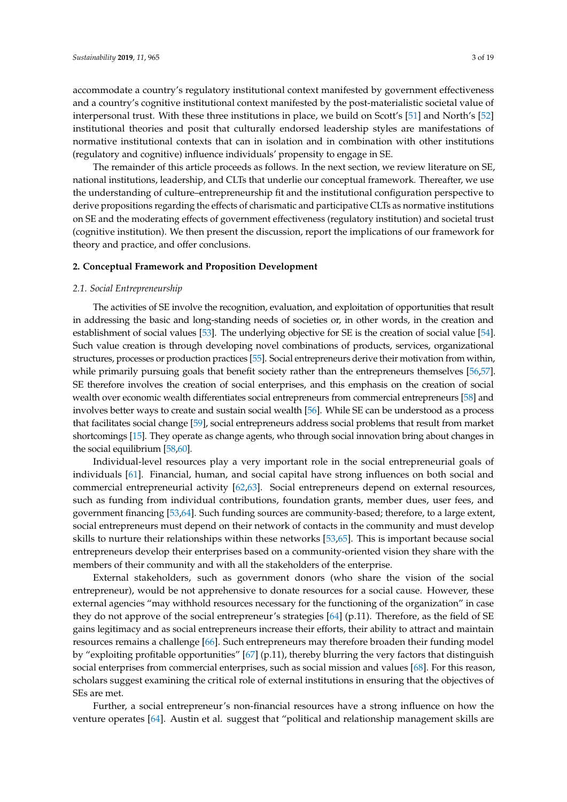accommodate a country's regulatory institutional context manifested by government effectiveness and a country's cognitive institutional context manifested by the post-materialistic societal value of interpersonal trust. With these three institutions in place, we build on Scott's [\[51\]](#page-14-19) and North's [\[52\]](#page-14-20) institutional theories and posit that culturally endorsed leadership styles are manifestations of normative institutional contexts that can in isolation and in combination with other institutions (regulatory and cognitive) influence individuals' propensity to engage in SE.

The remainder of this article proceeds as follows. In the next section, we review literature on SE, national institutions, leadership, and CLTs that underlie our conceptual framework. Thereafter, we use the understanding of culture–entrepreneurship fit and the institutional configuration perspective to derive propositions regarding the effects of charismatic and participative CLTs as normative institutions on SE and the moderating effects of government effectiveness (regulatory institution) and societal trust (cognitive institution). We then present the discussion, report the implications of our framework for theory and practice, and offer conclusions.

## **2. Conceptual Framework and Proposition Development**

#### *2.1. Social Entrepreneurship*

The activities of SE involve the recognition, evaluation, and exploitation of opportunities that result in addressing the basic and long-standing needs of societies or, in other words, in the creation and establishment of social values [\[53\]](#page-14-21). The underlying objective for SE is the creation of social value [\[54\]](#page-14-22). Such value creation is through developing novel combinations of products, services, organizational structures, processes or production practices [\[55\]](#page-14-23). Social entrepreneurs derive their motivation from within, while primarily pursuing goals that benefit society rather than the entrepreneurs themselves [\[56,](#page-15-0)[57\]](#page-15-1). SE therefore involves the creation of social enterprises, and this emphasis on the creation of social wealth over economic wealth differentiates social entrepreneurs from commercial entrepreneurs [\[58\]](#page-15-2) and involves better ways to create and sustain social wealth [\[56\]](#page-15-0). While SE can be understood as a process that facilitates social change [\[59\]](#page-15-3), social entrepreneurs address social problems that result from market shortcomings [\[15\]](#page-13-7). They operate as change agents, who through social innovation bring about changes in the social equilibrium [\[58](#page-15-2)[,60\]](#page-15-4).

Individual-level resources play a very important role in the social entrepreneurial goals of individuals [\[61\]](#page-15-5). Financial, human, and social capital have strong influences on both social and commercial entrepreneurial activity [\[62](#page-15-6)[,63\]](#page-15-7). Social entrepreneurs depend on external resources, such as funding from individual contributions, foundation grants, member dues, user fees, and government financing [\[53,](#page-14-21)[64\]](#page-15-8). Such funding sources are community-based; therefore, to a large extent, social entrepreneurs must depend on their network of contacts in the community and must develop skills to nurture their relationships within these networks [\[53](#page-14-21)[,65\]](#page-15-9). This is important because social entrepreneurs develop their enterprises based on a community-oriented vision they share with the members of their community and with all the stakeholders of the enterprise.

External stakeholders, such as government donors (who share the vision of the social entrepreneur), would be not apprehensive to donate resources for a social cause. However, these external agencies "may withhold resources necessary for the functioning of the organization" in case they do not approve of the social entrepreneur's strategies [\[64\]](#page-15-8) (p.11). Therefore, as the field of SE gains legitimacy and as social entrepreneurs increase their efforts, their ability to attract and maintain resources remains a challenge [\[66\]](#page-15-10). Such entrepreneurs may therefore broaden their funding model by "exploiting profitable opportunities" [\[67\]](#page-15-11) (p.11), thereby blurring the very factors that distinguish social enterprises from commercial enterprises, such as social mission and values [\[68\]](#page-15-12). For this reason, scholars suggest examining the critical role of external institutions in ensuring that the objectives of SEs are met.

Further, a social entrepreneur's non-financial resources have a strong influence on how the venture operates [\[64\]](#page-15-8). Austin et al. suggest that "political and relationship management skills are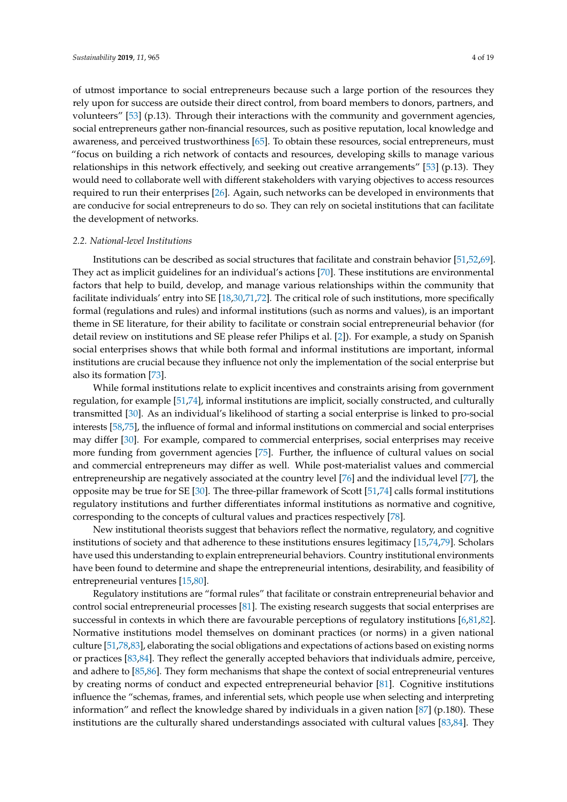of utmost importance to social entrepreneurs because such a large portion of the resources they rely upon for success are outside their direct control, from board members to donors, partners, and volunteers" [\[53\]](#page-14-21) (p.13). Through their interactions with the community and government agencies, social entrepreneurs gather non-financial resources, such as positive reputation, local knowledge and awareness, and perceived trustworthiness [\[65\]](#page-15-9). To obtain these resources, social entrepreneurs, must "focus on building a rich network of contacts and resources, developing skills to manage various relationships in this network effectively, and seeking out creative arrangements" [\[53\]](#page-14-21) (p.13). They would need to collaborate well with different stakeholders with varying objectives to access resources required to run their enterprises [\[26\]](#page-13-14). Again, such networks can be developed in environments that are conducive for social entrepreneurs to do so. They can rely on societal institutions that can facilitate the development of networks.

## *2.2. National-level Institutions*

Institutions can be described as social structures that facilitate and constrain behavior [\[51,](#page-14-19)[52,](#page-14-20)[69\]](#page-15-13). They act as implicit guidelines for an individual's actions [\[70\]](#page-15-14). These institutions are environmental factors that help to build, develop, and manage various relationships within the community that facilitate individuals' entry into SE [\[18,](#page-13-19)[30](#page-13-18)[,71](#page-15-15)[,72\]](#page-15-16). The critical role of such institutions, more specifically formal (regulations and rules) and informal institutions (such as norms and values), is an important theme in SE literature, for their ability to facilitate or constrain social entrepreneurial behavior (for detail review on institutions and SE please refer Philips et al. [\[2\]](#page-12-1)). For example, a study on Spanish social enterprises shows that while both formal and informal institutions are important, informal institutions are crucial because they influence not only the implementation of the social enterprise but also its formation [\[73\]](#page-15-17).

While formal institutions relate to explicit incentives and constraints arising from government regulation, for example [\[51](#page-14-19)[,74\]](#page-15-18), informal institutions are implicit, socially constructed, and culturally transmitted [\[30\]](#page-13-18). As an individual's likelihood of starting a social enterprise is linked to pro-social interests [\[58](#page-15-2)[,75\]](#page-15-19), the influence of formal and informal institutions on commercial and social enterprises may differ [\[30\]](#page-13-18). For example, compared to commercial enterprises, social enterprises may receive more funding from government agencies [\[75\]](#page-15-19). Further, the influence of cultural values on social and commercial entrepreneurs may differ as well. While post-materialist values and commercial entrepreneurship are negatively associated at the country level [\[76\]](#page-15-20) and the individual level [\[77\]](#page-15-21), the opposite may be true for SE [\[30\]](#page-13-18). The three-pillar framework of Scott [\[51,](#page-14-19)[74\]](#page-15-18) calls formal institutions regulatory institutions and further differentiates informal institutions as normative and cognitive, corresponding to the concepts of cultural values and practices respectively [\[78\]](#page-15-22).

New institutional theorists suggest that behaviors reflect the normative, regulatory, and cognitive institutions of society and that adherence to these institutions ensures legitimacy [\[15](#page-13-7)[,74](#page-15-18)[,79\]](#page-15-23). Scholars have used this understanding to explain entrepreneurial behaviors. Country institutional environments have been found to determine and shape the entrepreneurial intentions, desirability, and feasibility of entrepreneurial ventures [\[15,](#page-13-7)[80\]](#page-15-24).

Regulatory institutions are "formal rules" that facilitate or constrain entrepreneurial behavior and control social entrepreneurial processes [\[81\]](#page-15-25). The existing research suggests that social enterprises are successful in contexts in which there are favourable perceptions of regulatory institutions [\[6,](#page-12-2)[81,](#page-15-25)[82\]](#page-15-26). Normative institutions model themselves on dominant practices (or norms) in a given national culture [\[51,](#page-14-19)[78,](#page-15-22)[83\]](#page-15-27), elaborating the social obligations and expectations of actions based on existing norms or practices [\[83](#page-15-27)[,84\]](#page-16-0). They reflect the generally accepted behaviors that individuals admire, perceive, and adhere to [\[85](#page-16-1)[,86\]](#page-16-2). They form mechanisms that shape the context of social entrepreneurial ventures by creating norms of conduct and expected entrepreneurial behavior [\[81\]](#page-15-25). Cognitive institutions influence the "schemas, frames, and inferential sets, which people use when selecting and interpreting information" and reflect the knowledge shared by individuals in a given nation  $[87]$  (p.180). These institutions are the culturally shared understandings associated with cultural values [\[83,](#page-15-27)[84\]](#page-16-0). They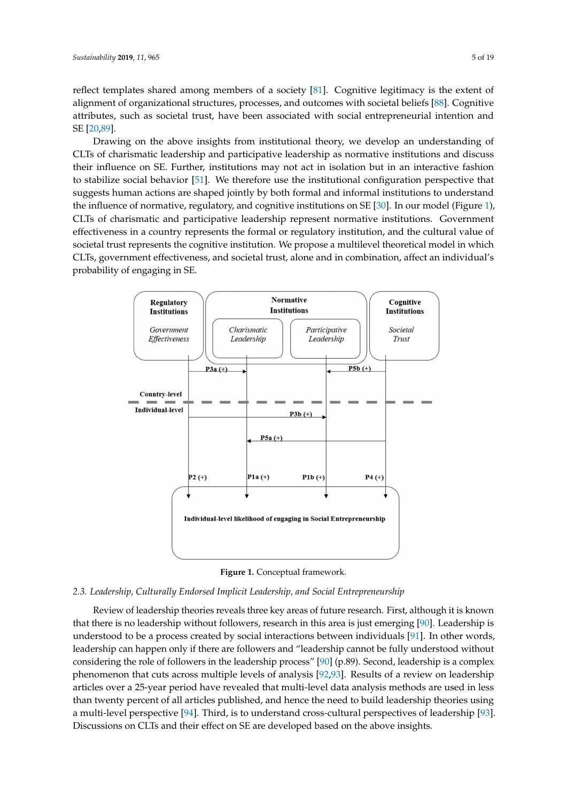reflect templates shared among members of a society [\[81\]](#page-15-25). Cognitive legitimacy is the extent of alignment of organizational structures, processes, and outcomes with societal beliefs [\[88\]](#page-16-4). Cognitive attributes, such as societal trust, have been associated with social entrepreneurial intention and SE [\[20,](#page-13-20)[89\]](#page-16-5).

Drawing on the above insights from institutional theory, we develop an understanding of CLTs of charismatic leadership and participative leadership as normative institutions and discuss their influence on SE. Further, institutions may not act in isolation but in an interactive fashion to stabilize social behavior  $[51]$ . We therefore use the institutional configuration perspective that suggests human actions are shaped jointly by both formal and informal institutions to understand the influence of normative, regulatory, and cognitive institutions on SE [\[30\]](#page-13-18). In our model (Figure [1\)](#page-4-0), CLTs of charismatic and participative leadership represent normative institutions. Government effectiveness in a country represents the formal or regulatory institution, and the cultural value of societal trust represents the cognitive institution. We propose a multilevel theoretical model in which CLTs, government effectiveness, and societal trust, alone and in combination, affect an individual's probability of engaging in SE.  $200$  CLTs of charismatic leadership and participative institutional comparation personal participative institutions and  $\eta$ 204 the internative of normative institutions of  $\alpha$  and complete institutions. 208 which CLTs, government effectiveness, and societal trust, alone and in combination, affect an

<span id="page-4-0"></span>



#### 213 *2.3. Leadership, Culturally Endorsed Implicit Leadership, and Social Entrepreneurship 2.3. Leadership, Culturally Endorsed Implicit Leadership, and Social Entrepreneurship*

214 Review of leadership theories reveals three key areas of future research. First, although it is Review of leadership theories reveals three key areas of future research. First, although it is known that there is no leadership without followers, research in this area is just emerging [\[90\]](#page-16-6). Leadership is understood to be a process created by social interactions between individuals [\[91\]](#page-16-7). In other words,  $2177$  order words, leadership can happen only if there are followers and  $\theta$  are happen on the fully cannot be fully cannot be fully cannot be fully cannot be fully cannot be fully cannot be fully cannot be fully cannot leadership can happen only if there are followers and "leadership cannot be fully understood without considering the role of followers in the leadership process" [\[90\]](#page-16-6) (p.89). Second, leadership is a complex phenomenon that cuts across multiple levels of analysis [\[92](#page-16-8)[,93\]](#page-16-9). Results of a review on leadership articles over a 25-year period have revealed that multi-level data analysis methods are used in less than twenty percent of all articles published, and hence the need to build leadership theories using a multi-level perspective [\[94\]](#page-16-10). Third, is to understand cross-cultural perspectives of leadership [\[93\]](#page-16-9). Discussions on CLTs and their effect on SE are developed based on the above insights.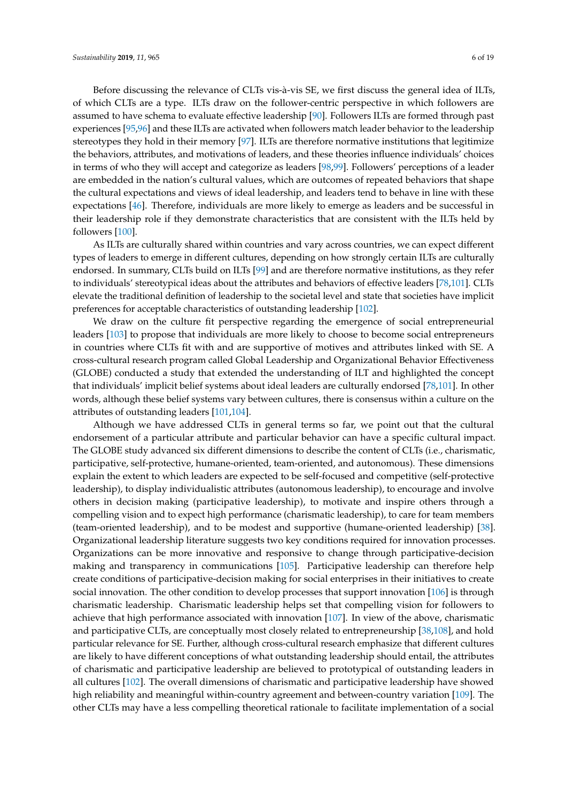Before discussing the relevance of CLTs vis-à-vis SE, we first discuss the general idea of ILTs, of which CLTs are a type. ILTs draw on the follower-centric perspective in which followers are assumed to have schema to evaluate effective leadership [\[90\]](#page-16-6). Followers ILTs are formed through past experiences [\[95](#page-16-11)[,96\]](#page-16-12) and these ILTs are activated when followers match leader behavior to the leadership stereotypes they hold in their memory [\[97\]](#page-16-13). ILTs are therefore normative institutions that legitimize the behaviors, attributes, and motivations of leaders, and these theories influence individuals' choices in terms of who they will accept and categorize as leaders [\[98](#page-16-14)[,99\]](#page-16-15). Followers' perceptions of a leader are embedded in the nation's cultural values, which are outcomes of repeated behaviors that shape the cultural expectations and views of ideal leadership, and leaders tend to behave in line with these expectations [\[46\]](#page-14-14). Therefore, individuals are more likely to emerge as leaders and be successful in their leadership role if they demonstrate characteristics that are consistent with the ILTs held by followers [\[100\]](#page-16-16).

As ILTs are culturally shared within countries and vary across countries, we can expect different types of leaders to emerge in different cultures, depending on how strongly certain ILTs are culturally endorsed. In summary, CLTs build on ILTs [\[99\]](#page-16-15) and are therefore normative institutions, as they refer to individuals' stereotypical ideas about the attributes and behaviors of effective leaders [\[78,](#page-15-22)[101\]](#page-16-17). CLTs elevate the traditional definition of leadership to the societal level and state that societies have implicit preferences for acceptable characteristics of outstanding leadership [\[102\]](#page-16-18).

We draw on the culture fit perspective regarding the emergence of social entrepreneurial leaders [\[103\]](#page-16-19) to propose that individuals are more likely to choose to become social entrepreneurs in countries where CLTs fit with and are supportive of motives and attributes linked with SE. A cross-cultural research program called Global Leadership and Organizational Behavior Effectiveness (GLOBE) conducted a study that extended the understanding of ILT and highlighted the concept that individuals' implicit belief systems about ideal leaders are culturally endorsed [\[78,](#page-15-22)[101\]](#page-16-17). In other words, although these belief systems vary between cultures, there is consensus within a culture on the attributes of outstanding leaders [\[101,](#page-16-17)[104\]](#page-16-20).

Although we have addressed CLTs in general terms so far, we point out that the cultural endorsement of a particular attribute and particular behavior can have a specific cultural impact. The GLOBE study advanced six different dimensions to describe the content of CLTs (i.e., charismatic, participative, self-protective, humane-oriented, team-oriented, and autonomous). These dimensions explain the extent to which leaders are expected to be self-focused and competitive (self-protective leadership), to display individualistic attributes (autonomous leadership), to encourage and involve others in decision making (participative leadership), to motivate and inspire others through a compelling vision and to expect high performance (charismatic leadership), to care for team members (team-oriented leadership), and to be modest and supportive (humane-oriented leadership) [\[38\]](#page-14-6). Organizational leadership literature suggests two key conditions required for innovation processes. Organizations can be more innovative and responsive to change through participative-decision making and transparency in communications [\[105\]](#page-16-21). Participative leadership can therefore help create conditions of participative-decision making for social enterprises in their initiatives to create social innovation. The other condition to develop processes that support innovation [\[106\]](#page-16-22) is through charismatic leadership. Charismatic leadership helps set that compelling vision for followers to achieve that high performance associated with innovation [\[107\]](#page-16-23). In view of the above, charismatic and participative CLTs, are conceptually most closely related to entrepreneurship [\[38](#page-14-6)[,108\]](#page-16-24), and hold particular relevance for SE. Further, although cross-cultural research emphasize that different cultures are likely to have different conceptions of what outstanding leadership should entail, the attributes of charismatic and participative leadership are believed to prototypical of outstanding leaders in all cultures [\[102\]](#page-16-18). The overall dimensions of charismatic and participative leadership have showed high reliability and meaningful within-country agreement and between-country variation [\[109\]](#page-17-0). The other CLTs may have a less compelling theoretical rationale to facilitate implementation of a social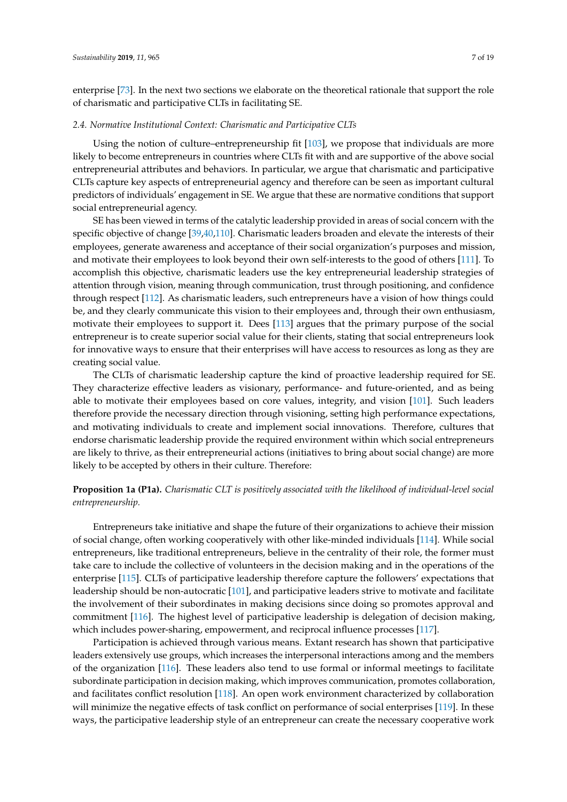enterprise [\[73\]](#page-15-17). In the next two sections we elaborate on the theoretical rationale that support the role of charismatic and participative CLTs in facilitating SE.

#### *2.4. Normative Institutional Context: Charismatic and Participative CLTs*

Using the notion of culture–entrepreneurship fit [\[103\]](#page-16-19), we propose that individuals are more likely to become entrepreneurs in countries where CLTs fit with and are supportive of the above social entrepreneurial attributes and behaviors. In particular, we argue that charismatic and participative CLTs capture key aspects of entrepreneurial agency and therefore can be seen as important cultural predictors of individuals' engagement in SE. We argue that these are normative conditions that support social entrepreneurial agency.

SE has been viewed in terms of the catalytic leadership provided in areas of social concern with the specific objective of change [\[39](#page-14-7)[,40](#page-14-8)[,110\]](#page-17-1). Charismatic leaders broaden and elevate the interests of their employees, generate awareness and acceptance of their social organization's purposes and mission, and motivate their employees to look beyond their own self-interests to the good of others [\[111\]](#page-17-2). To accomplish this objective, charismatic leaders use the key entrepreneurial leadership strategies of attention through vision, meaning through communication, trust through positioning, and confidence through respect [\[112\]](#page-17-3). As charismatic leaders, such entrepreneurs have a vision of how things could be, and they clearly communicate this vision to their employees and, through their own enthusiasm, motivate their employees to support it. Dees [\[113\]](#page-17-4) argues that the primary purpose of the social entrepreneur is to create superior social value for their clients, stating that social entrepreneurs look for innovative ways to ensure that their enterprises will have access to resources as long as they are creating social value.

The CLTs of charismatic leadership capture the kind of proactive leadership required for SE. They characterize effective leaders as visionary, performance- and future-oriented, and as being able to motivate their employees based on core values, integrity, and vision [\[101\]](#page-16-17). Such leaders therefore provide the necessary direction through visioning, setting high performance expectations, and motivating individuals to create and implement social innovations. Therefore, cultures that endorse charismatic leadership provide the required environment within which social entrepreneurs are likely to thrive, as their entrepreneurial actions (initiatives to bring about social change) are more likely to be accepted by others in their culture. Therefore:

# **Proposition 1a (P1a).** *Charismatic CLT is positively associated with the likelihood of individual-level social entrepreneurship.*

Entrepreneurs take initiative and shape the future of their organizations to achieve their mission of social change, often working cooperatively with other like-minded individuals [\[114\]](#page-17-5). While social entrepreneurs, like traditional entrepreneurs, believe in the centrality of their role, the former must take care to include the collective of volunteers in the decision making and in the operations of the enterprise [\[115\]](#page-17-6). CLTs of participative leadership therefore capture the followers' expectations that leadership should be non-autocratic [\[101\]](#page-16-17), and participative leaders strive to motivate and facilitate the involvement of their subordinates in making decisions since doing so promotes approval and commitment [\[116\]](#page-17-7). The highest level of participative leadership is delegation of decision making, which includes power-sharing, empowerment, and reciprocal influence processes [\[117\]](#page-17-8).

Participation is achieved through various means. Extant research has shown that participative leaders extensively use groups, which increases the interpersonal interactions among and the members of the organization [\[116\]](#page-17-7). These leaders also tend to use formal or informal meetings to facilitate subordinate participation in decision making, which improves communication, promotes collaboration, and facilitates conflict resolution [\[118\]](#page-17-9). An open work environment characterized by collaboration will minimize the negative effects of task conflict on performance of social enterprises [\[119\]](#page-17-10). In these ways, the participative leadership style of an entrepreneur can create the necessary cooperative work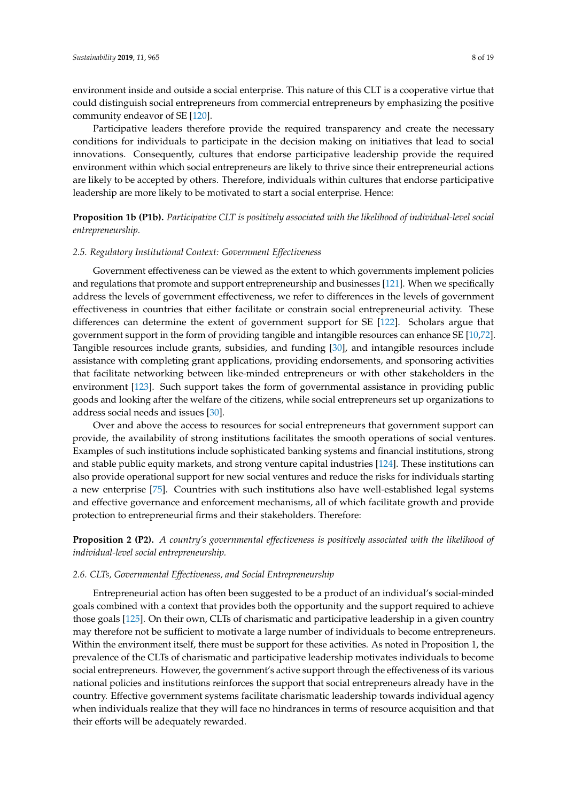environment inside and outside a social enterprise. This nature of this CLT is a cooperative virtue that could distinguish social entrepreneurs from commercial entrepreneurs by emphasizing the positive community endeavor of SE [\[120\]](#page-17-11).

Participative leaders therefore provide the required transparency and create the necessary conditions for individuals to participate in the decision making on initiatives that lead to social innovations. Consequently, cultures that endorse participative leadership provide the required environment within which social entrepreneurs are likely to thrive since their entrepreneurial actions are likely to be accepted by others. Therefore, individuals within cultures that endorse participative leadership are more likely to be motivated to start a social enterprise. Hence:

**Proposition 1b (P1b).** *Participative CLT is positively associated with the likelihood of individual-level social entrepreneurship.*

#### *2.5. Regulatory Institutional Context: Government Effectiveness*

Government effectiveness can be viewed as the extent to which governments implement policies and regulations that promote and support entrepreneurship and businesses [\[121\]](#page-17-12). When we specifically address the levels of government effectiveness, we refer to differences in the levels of government effectiveness in countries that either facilitate or constrain social entrepreneurial activity. These differences can determine the extent of government support for SE [\[122\]](#page-17-13). Scholars argue that government support in the form of providing tangible and intangible resources can enhance SE [\[10](#page-13-2)[,72\]](#page-15-16). Tangible resources include grants, subsidies, and funding [\[30\]](#page-13-18), and intangible resources include assistance with completing grant applications, providing endorsements, and sponsoring activities that facilitate networking between like-minded entrepreneurs or with other stakeholders in the environment [\[123\]](#page-17-14). Such support takes the form of governmental assistance in providing public goods and looking after the welfare of the citizens, while social entrepreneurs set up organizations to address social needs and issues [\[30\]](#page-13-18).

Over and above the access to resources for social entrepreneurs that government support can provide, the availability of strong institutions facilitates the smooth operations of social ventures. Examples of such institutions include sophisticated banking systems and financial institutions, strong and stable public equity markets, and strong venture capital industries [\[124\]](#page-17-15). These institutions can also provide operational support for new social ventures and reduce the risks for individuals starting a new enterprise [\[75\]](#page-15-19). Countries with such institutions also have well-established legal systems and effective governance and enforcement mechanisms, all of which facilitate growth and provide protection to entrepreneurial firms and their stakeholders. Therefore:

**Proposition 2 (P2).** *A country's governmental effectiveness is positively associated with the likelihood of individual-level social entrepreneurship.*

# *2.6. CLTs, Governmental Effectiveness, and Social Entrepreneurship*

Entrepreneurial action has often been suggested to be a product of an individual's social-minded goals combined with a context that provides both the opportunity and the support required to achieve those goals [\[125\]](#page-17-16). On their own, CLTs of charismatic and participative leadership in a given country may therefore not be sufficient to motivate a large number of individuals to become entrepreneurs. Within the environment itself, there must be support for these activities. As noted in Proposition 1, the prevalence of the CLTs of charismatic and participative leadership motivates individuals to become social entrepreneurs. However, the government's active support through the effectiveness of its various national policies and institutions reinforces the support that social entrepreneurs already have in the country. Effective government systems facilitate charismatic leadership towards individual agency when individuals realize that they will face no hindrances in terms of resource acquisition and that their efforts will be adequately rewarded.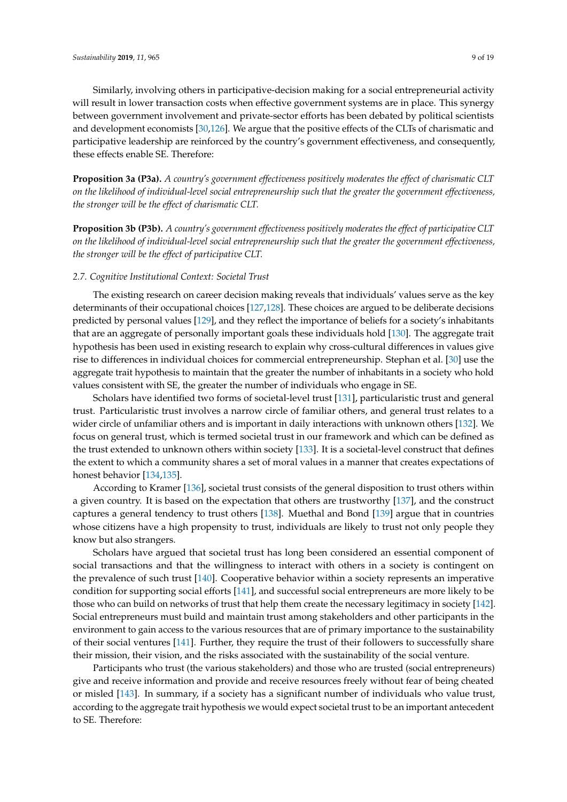Similarly, involving others in participative-decision making for a social entrepreneurial activity will result in lower transaction costs when effective government systems are in place. This synergy between government involvement and private-sector efforts has been debated by political scientists and development economists [\[30,](#page-13-18)[126\]](#page-17-17). We argue that the positive effects of the CLTs of charismatic and participative leadership are reinforced by the country's government effectiveness, and consequently, these effects enable SE. Therefore:

**Proposition 3a (P3a).** *A country's government effectiveness positively moderates the effect of charismatic CLT on the likelihood of individual-level social entrepreneurship such that the greater the government effectiveness, the stronger will be the effect of charismatic CLT.*

**Proposition 3b (P3b).** *A country's government effectiveness positively moderates the effect of participative CLT on the likelihood of individual-level social entrepreneurship such that the greater the government effectiveness, the stronger will be the effect of participative CLT.*

# *2.7. Cognitive Institutional Context: Societal Trust*

The existing research on career decision making reveals that individuals' values serve as the key determinants of their occupational choices [\[127,](#page-17-18)[128\]](#page-17-19). These choices are argued to be deliberate decisions predicted by personal values [\[129\]](#page-17-20), and they reflect the importance of beliefs for a society's inhabitants that are an aggregate of personally important goals these individuals hold [\[130\]](#page-17-21). The aggregate trait hypothesis has been used in existing research to explain why cross-cultural differences in values give rise to differences in individual choices for commercial entrepreneurship. Stephan et al. [\[30\]](#page-13-18) use the aggregate trait hypothesis to maintain that the greater the number of inhabitants in a society who hold values consistent with SE, the greater the number of individuals who engage in SE.

Scholars have identified two forms of societal-level trust [\[131\]](#page-17-22), particularistic trust and general trust. Particularistic trust involves a narrow circle of familiar others, and general trust relates to a wider circle of unfamiliar others and is important in daily interactions with unknown others [\[132\]](#page-17-23). We focus on general trust, which is termed societal trust in our framework and which can be defined as the trust extended to unknown others within society [\[133\]](#page-17-24). It is a societal-level construct that defines the extent to which a community shares a set of moral values in a manner that creates expectations of honest behavior [\[134,](#page-17-25)[135\]](#page-17-26).

According to Kramer [\[136\]](#page-17-27), societal trust consists of the general disposition to trust others within a given country. It is based on the expectation that others are trustworthy [\[137\]](#page-18-0), and the construct captures a general tendency to trust others [\[138\]](#page-18-1). Muethal and Bond [\[139\]](#page-18-2) argue that in countries whose citizens have a high propensity to trust, individuals are likely to trust not only people they know but also strangers.

Scholars have argued that societal trust has long been considered an essential component of social transactions and that the willingness to interact with others in a society is contingent on the prevalence of such trust [\[140\]](#page-18-3). Cooperative behavior within a society represents an imperative condition for supporting social efforts [\[141\]](#page-18-4), and successful social entrepreneurs are more likely to be those who can build on networks of trust that help them create the necessary legitimacy in society [\[142\]](#page-18-5). Social entrepreneurs must build and maintain trust among stakeholders and other participants in the environment to gain access to the various resources that are of primary importance to the sustainability of their social ventures [\[141\]](#page-18-4). Further, they require the trust of their followers to successfully share their mission, their vision, and the risks associated with the sustainability of the social venture.

Participants who trust (the various stakeholders) and those who are trusted (social entrepreneurs) give and receive information and provide and receive resources freely without fear of being cheated or misled [\[143\]](#page-18-6). In summary, if a society has a significant number of individuals who value trust, according to the aggregate trait hypothesis we would expect societal trust to be an important antecedent to SE. Therefore: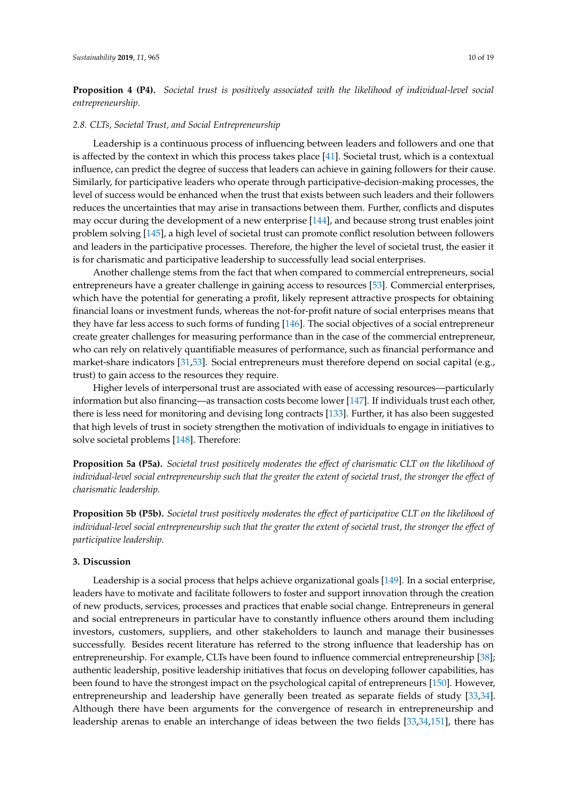**Proposition 4 (P4).** *Societal trust is positively associated with the likelihood of individual-level social entrepreneurship.*

#### *2.8. CLTs, Societal Trust, and Social Entrepreneurship*

Leadership is a continuous process of influencing between leaders and followers and one that is affected by the context in which this process takes place [\[41\]](#page-14-9). Societal trust, which is a contextual influence, can predict the degree of success that leaders can achieve in gaining followers for their cause. Similarly, for participative leaders who operate through participative-decision-making processes, the level of success would be enhanced when the trust that exists between such leaders and their followers reduces the uncertainties that may arise in transactions between them. Further, conflicts and disputes may occur during the development of a new enterprise [\[144\]](#page-18-7), and because strong trust enables joint problem solving [\[145\]](#page-18-8), a high level of societal trust can promote conflict resolution between followers and leaders in the participative processes. Therefore, the higher the level of societal trust, the easier it is for charismatic and participative leadership to successfully lead social enterprises.

Another challenge stems from the fact that when compared to commercial entrepreneurs, social entrepreneurs have a greater challenge in gaining access to resources [\[53\]](#page-14-21). Commercial enterprises, which have the potential for generating a profit, likely represent attractive prospects for obtaining financial loans or investment funds, whereas the not-for-profit nature of social enterprises means that they have far less access to such forms of funding [\[146\]](#page-18-9). The social objectives of a social entrepreneur create greater challenges for measuring performance than in the case of the commercial entrepreneur, who can rely on relatively quantifiable measures of performance, such as financial performance and market-share indicators [\[31,](#page-14-0)[53\]](#page-14-21). Social entrepreneurs must therefore depend on social capital (e.g., trust) to gain access to the resources they require.

Higher levels of interpersonal trust are associated with ease of accessing resources—particularly information but also financing—as transaction costs become lower [\[147\]](#page-18-10). If individuals trust each other, there is less need for monitoring and devising long contracts [\[133\]](#page-17-24). Further, it has also been suggested that high levels of trust in society strengthen the motivation of individuals to engage in initiatives to solve societal problems [\[148\]](#page-18-11). Therefore:

**Proposition 5a (P5a).** *Societal trust positively moderates the effect of charismatic CLT on the likelihood of individual-level social entrepreneurship such that the greater the extent of societal trust, the stronger the effect of charismatic leadership.*

**Proposition 5b (P5b).** *Societal trust positively moderates the effect of participative CLT on the likelihood of individual-level social entrepreneurship such that the greater the extent of societal trust, the stronger the effect of participative leadership.*

# **3. Discussion**

Leadership is a social process that helps achieve organizational goals [\[149\]](#page-18-12). In a social enterprise, leaders have to motivate and facilitate followers to foster and support innovation through the creation of new products, services, processes and practices that enable social change. Entrepreneurs in general and social entrepreneurs in particular have to constantly influence others around them including investors, customers, suppliers, and other stakeholders to launch and manage their businesses successfully. Besides recent literature has referred to the strong influence that leadership has on entrepreneurship. For example, CLTs have been found to influence commercial entrepreneurship [\[38\]](#page-14-6); authentic leadership, positive leadership initiatives that focus on developing follower capabilities, has been found to have the strongest impact on the psychological capital of entrepreneurs [\[150\]](#page-18-13). However, entrepreneurship and leadership have generally been treated as separate fields of study [\[33,](#page-14-2)[34\]](#page-14-3). Although there have been arguments for the convergence of research in entrepreneurship and leadership arenas to enable an interchange of ideas between the two fields [\[33](#page-14-2)[,34](#page-14-3)[,151\]](#page-18-14), there has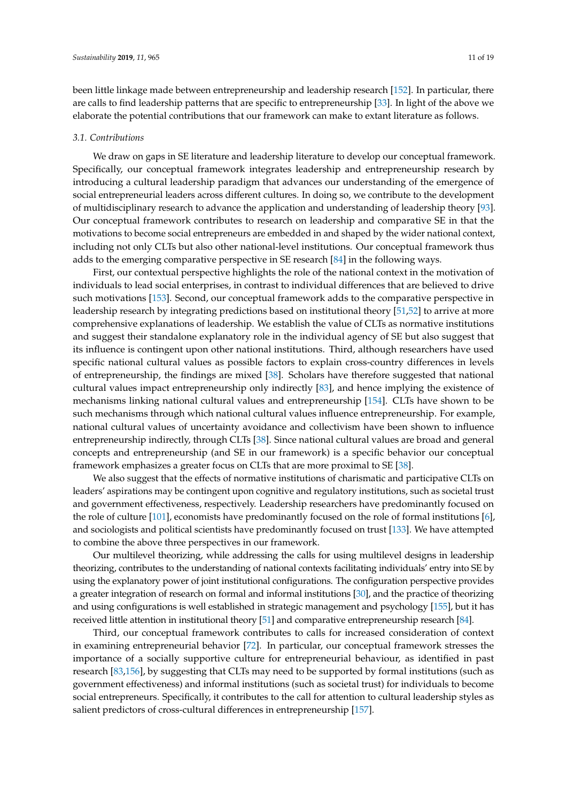been little linkage made between entrepreneurship and leadership research [\[152\]](#page-18-15). In particular, there are calls to find leadership patterns that are specific to entrepreneurship [\[33\]](#page-14-2). In light of the above we elaborate the potential contributions that our framework can make to extant literature as follows.

#### *3.1. Contributions*

We draw on gaps in SE literature and leadership literature to develop our conceptual framework. Specifically, our conceptual framework integrates leadership and entrepreneurship research by introducing a cultural leadership paradigm that advances our understanding of the emergence of social entrepreneurial leaders across different cultures. In doing so, we contribute to the development of multidisciplinary research to advance the application and understanding of leadership theory [\[93\]](#page-16-9). Our conceptual framework contributes to research on leadership and comparative SE in that the motivations to become social entrepreneurs are embedded in and shaped by the wider national context, including not only CLTs but also other national-level institutions. Our conceptual framework thus adds to the emerging comparative perspective in SE research [\[84\]](#page-16-0) in the following ways.

First, our contextual perspective highlights the role of the national context in the motivation of individuals to lead social enterprises, in contrast to individual differences that are believed to drive such motivations [\[153\]](#page-18-16). Second, our conceptual framework adds to the comparative perspective in leadership research by integrating predictions based on institutional theory [\[51](#page-14-19)[,52\]](#page-14-20) to arrive at more comprehensive explanations of leadership. We establish the value of CLTs as normative institutions and suggest their standalone explanatory role in the individual agency of SE but also suggest that its influence is contingent upon other national institutions. Third, although researchers have used specific national cultural values as possible factors to explain cross-country differences in levels of entrepreneurship, the findings are mixed [\[38\]](#page-14-6). Scholars have therefore suggested that national cultural values impact entrepreneurship only indirectly [\[83\]](#page-15-27), and hence implying the existence of mechanisms linking national cultural values and entrepreneurship [\[154\]](#page-18-17). CLTs have shown to be such mechanisms through which national cultural values influence entrepreneurship. For example, national cultural values of uncertainty avoidance and collectivism have been shown to influence entrepreneurship indirectly, through CLTs [\[38\]](#page-14-6). Since national cultural values are broad and general concepts and entrepreneurship (and SE in our framework) is a specific behavior our conceptual framework emphasizes a greater focus on CLTs that are more proximal to SE [\[38\]](#page-14-6).

We also suggest that the effects of normative institutions of charismatic and participative CLTs on leaders' aspirations may be contingent upon cognitive and regulatory institutions, such as societal trust and government effectiveness, respectively. Leadership researchers have predominantly focused on the role of culture [\[101\]](#page-16-17), economists have predominantly focused on the role of formal institutions [\[6\]](#page-12-2), and sociologists and political scientists have predominantly focused on trust [\[133\]](#page-17-24). We have attempted to combine the above three perspectives in our framework.

Our multilevel theorizing, while addressing the calls for using multilevel designs in leadership theorizing, contributes to the understanding of national contexts facilitating individuals' entry into SE by using the explanatory power of joint institutional configurations. The configuration perspective provides a greater integration of research on formal and informal institutions [\[30\]](#page-13-18), and the practice of theorizing and using configurations is well established in strategic management and psychology [\[155\]](#page-18-18), but it has received little attention in institutional theory [\[51\]](#page-14-19) and comparative entrepreneurship research [\[84\]](#page-16-0).

Third, our conceptual framework contributes to calls for increased consideration of context in examining entrepreneurial behavior [\[72\]](#page-15-16). In particular, our conceptual framework stresses the importance of a socially supportive culture for entrepreneurial behaviour, as identified in past research [\[83](#page-15-27)[,156\]](#page-18-19), by suggesting that CLTs may need to be supported by formal institutions (such as government effectiveness) and informal institutions (such as societal trust) for individuals to become social entrepreneurs. Specifically, it contributes to the call for attention to cultural leadership styles as salient predictors of cross-cultural differences in entrepreneurship [\[157\]](#page-18-20).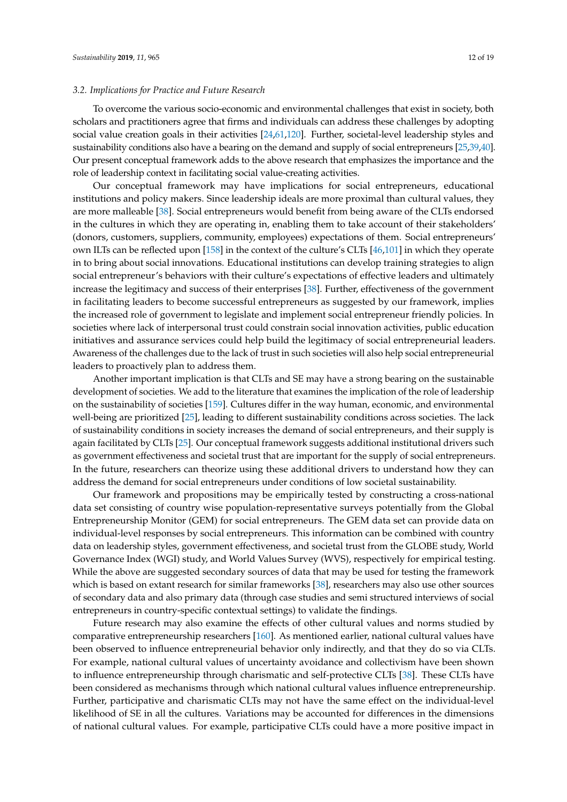## *3.2. Implications for Practice and Future Research*

To overcome the various socio-economic and environmental challenges that exist in society, both scholars and practitioners agree that firms and individuals can address these challenges by adopting social value creation goals in their activities [\[24,](#page-13-12)[61](#page-15-5)[,120\]](#page-17-11). Further, societal-level leadership styles and sustainability conditions also have a bearing on the demand and supply of social entrepreneurs [\[25](#page-13-13)[,39](#page-14-7)[,40\]](#page-14-8). Our present conceptual framework adds to the above research that emphasizes the importance and the role of leadership context in facilitating social value-creating activities.

Our conceptual framework may have implications for social entrepreneurs, educational institutions and policy makers. Since leadership ideals are more proximal than cultural values, they are more malleable [\[38\]](#page-14-6). Social entrepreneurs would benefit from being aware of the CLTs endorsed in the cultures in which they are operating in, enabling them to take account of their stakeholders' (donors, customers, suppliers, community, employees) expectations of them. Social entrepreneurs' own ILTs can be reflected upon [\[158\]](#page-18-21) in the context of the culture's CLTs [\[46,](#page-14-14)[101\]](#page-16-17) in which they operate in to bring about social innovations. Educational institutions can develop training strategies to align social entrepreneur's behaviors with their culture's expectations of effective leaders and ultimately increase the legitimacy and success of their enterprises [\[38\]](#page-14-6). Further, effectiveness of the government in facilitating leaders to become successful entrepreneurs as suggested by our framework, implies the increased role of government to legislate and implement social entrepreneur friendly policies. In societies where lack of interpersonal trust could constrain social innovation activities, public education initiatives and assurance services could help build the legitimacy of social entrepreneurial leaders. Awareness of the challenges due to the lack of trust in such societies will also help social entrepreneurial leaders to proactively plan to address them.

Another important implication is that CLTs and SE may have a strong bearing on the sustainable development of societies. We add to the literature that examines the implication of the role of leadership on the sustainability of societies [\[159\]](#page-18-22). Cultures differ in the way human, economic, and environmental well-being are prioritized [\[25\]](#page-13-13), leading to different sustainability conditions across societies. The lack of sustainability conditions in society increases the demand of social entrepreneurs, and their supply is again facilitated by CLTs [\[25\]](#page-13-13). Our conceptual framework suggests additional institutional drivers such as government effectiveness and societal trust that are important for the supply of social entrepreneurs. In the future, researchers can theorize using these additional drivers to understand how they can address the demand for social entrepreneurs under conditions of low societal sustainability.

Our framework and propositions may be empirically tested by constructing a cross-national data set consisting of country wise population-representative surveys potentially from the Global Entrepreneurship Monitor (GEM) for social entrepreneurs. The GEM data set can provide data on individual-level responses by social entrepreneurs. This information can be combined with country data on leadership styles, government effectiveness, and societal trust from the GLOBE study, World Governance Index (WGI) study, and World Values Survey (WVS), respectively for empirical testing. While the above are suggested secondary sources of data that may be used for testing the framework which is based on extant research for similar frameworks [\[38\]](#page-14-6), researchers may also use other sources of secondary data and also primary data (through case studies and semi structured interviews of social entrepreneurs in country-specific contextual settings) to validate the findings.

Future research may also examine the effects of other cultural values and norms studied by comparative entrepreneurship researchers [\[160\]](#page-18-23). As mentioned earlier, national cultural values have been observed to influence entrepreneurial behavior only indirectly, and that they do so via CLTs. For example, national cultural values of uncertainty avoidance and collectivism have been shown to influence entrepreneurship through charismatic and self-protective CLTs [\[38\]](#page-14-6). These CLTs have been considered as mechanisms through which national cultural values influence entrepreneurship. Further, participative and charismatic CLTs may not have the same effect on the individual-level likelihood of SE in all the cultures. Variations may be accounted for differences in the dimensions of national cultural values. For example, participative CLTs could have a more positive impact in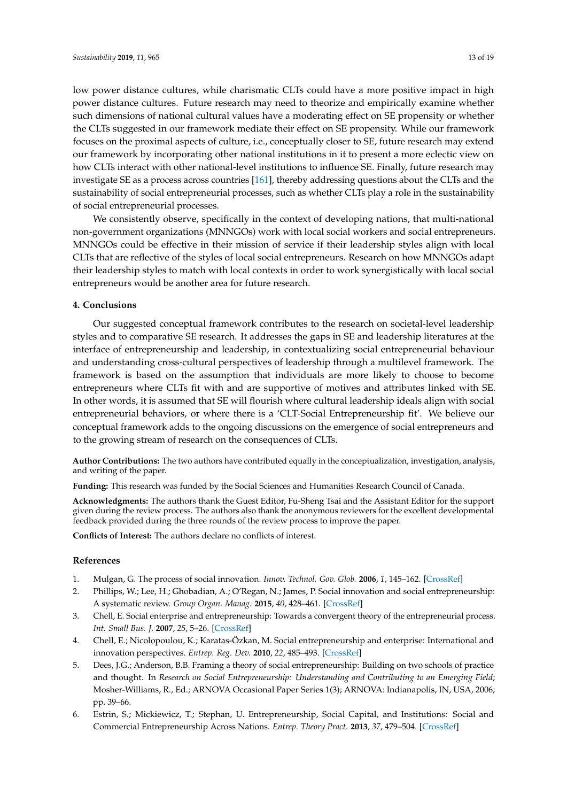low power distance cultures, while charismatic CLTs could have a more positive impact in high power distance cultures. Future research may need to theorize and empirically examine whether such dimensions of national cultural values have a moderating effect on SE propensity or whether the CLTs suggested in our framework mediate their effect on SE propensity. While our framework focuses on the proximal aspects of culture, i.e., conceptually closer to SE, future research may extend our framework by incorporating other national institutions in it to present a more eclectic view on how CLTs interact with other national-level institutions to influence SE. Finally, future research may investigate SE as a process across countries [\[161\]](#page-18-24), thereby addressing questions about the CLTs and the sustainability of social entrepreneurial processes, such as whether CLTs play a role in the sustainability of social entrepreneurial processes.

We consistently observe, specifically in the context of developing nations, that multi-national non-government organizations (MNNGOs) work with local social workers and social entrepreneurs. MNNGOs could be effective in their mission of service if their leadership styles align with local CLTs that are reflective of the styles of local social entrepreneurs. Research on how MNNGOs adapt their leadership styles to match with local contexts in order to work synergistically with local social entrepreneurs would be another area for future research.

# **4. Conclusions**

Our suggested conceptual framework contributes to the research on societal-level leadership styles and to comparative SE research. It addresses the gaps in SE and leadership literatures at the interface of entrepreneurship and leadership, in contextualizing social entrepreneurial behaviour and understanding cross-cultural perspectives of leadership through a multilevel framework. The framework is based on the assumption that individuals are more likely to choose to become entrepreneurs where CLTs fit with and are supportive of motives and attributes linked with SE. In other words, it is assumed that SE will flourish where cultural leadership ideals align with social entrepreneurial behaviors, or where there is a 'CLT-Social Entrepreneurship fit'. We believe our conceptual framework adds to the ongoing discussions on the emergence of social entrepreneurs and to the growing stream of research on the consequences of CLTs.

**Author Contributions:** The two authors have contributed equally in the conceptualization, investigation, analysis, and writing of the paper.

**Funding:** This research was funded by the Social Sciences and Humanities Research Council of Canada.

**Acknowledgments:** The authors thank the Guest Editor, Fu-Sheng Tsai and the Assistant Editor for the support given during the review process. The authors also thank the anonymous reviewers for the excellent developmental feedback provided during the three rounds of the review process to improve the paper.

**Conflicts of Interest:** The authors declare no conflicts of interest.

#### **References**

- <span id="page-12-0"></span>1. Mulgan, G. The process of social innovation. *Innov. Technol. Gov. Glob.* **2006**, *1*, 145–162. [\[CrossRef\]](http://dx.doi.org/10.1162/itgg.2006.1.2.145)
- <span id="page-12-1"></span>2. Phillips, W.; Lee, H.; Ghobadian, A.; O'Regan, N.; James, P. Social innovation and social entrepreneurship: A systematic review. *Group Organ. Manag.* **2015**, *40*, 428–461. [\[CrossRef\]](http://dx.doi.org/10.1177/1059601114560063)
- 3. Chell, E. Social enterprise and entrepreneurship: Towards a convergent theory of the entrepreneurial process. *Int. Small Bus. J.* **2007**, *25*, 5–26. [\[CrossRef\]](http://dx.doi.org/10.1177/0266242607071779)
- 4. Chell, E.; Nicolopoulou, K.; Karatas-Özkan, M. Social entrepreneurship and enterprise: International and innovation perspectives. *Entrep. Reg. Dev.* **2010**, *22*, 485–493. [\[CrossRef\]](http://dx.doi.org/10.1080/08985626.2010.488396)
- 5. Dees, J.G.; Anderson, B.B. Framing a theory of social entrepreneurship: Building on two schools of practice and thought. In *Research on Social Entrepreneurship: Understanding and Contributing to an Emerging Field*; Mosher-Williams, R., Ed.; ARNOVA Occasional Paper Series 1(3); ARNOVA: Indianapolis, IN, USA, 2006; pp. 39–66.
- <span id="page-12-2"></span>6. Estrin, S.; Mickiewicz, T.; Stephan, U. Entrepreneurship, Social Capital, and Institutions: Social and Commercial Entrepreneurship Across Nations. *Entrep. Theory Pract.* **2013**, *37*, 479–504. [\[CrossRef\]](http://dx.doi.org/10.1111/etap.12019)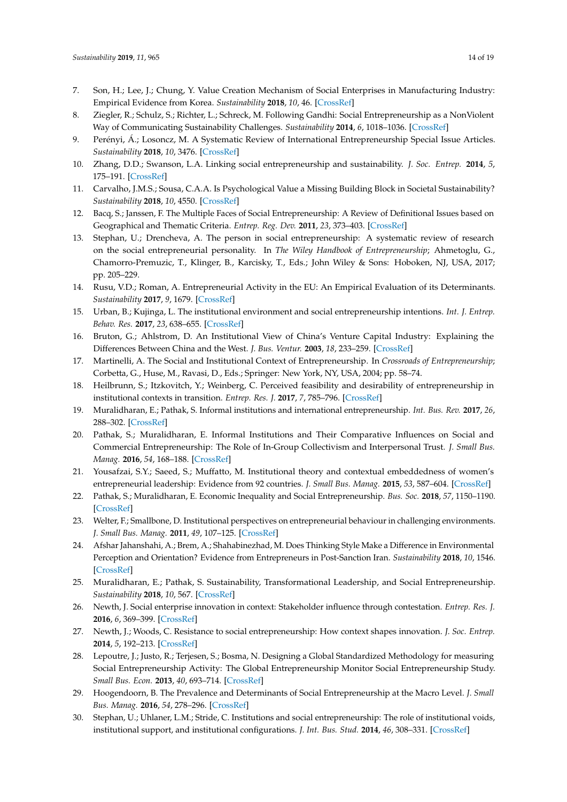- 7. Son, H.; Lee, J.; Chung, Y. Value Creation Mechanism of Social Enterprises in Manufacturing Industry: Empirical Evidence from Korea. *Sustainability* **2018**, *10*, 46. [\[CrossRef\]](http://dx.doi.org/10.3390/su10010046)
- <span id="page-13-0"></span>8. Ziegler, R.; Schulz, S.; Richter, L.; Schreck, M. Following Gandhi: Social Entrepreneurship as a NonViolent Way of Communicating Sustainability Challenges. *Sustainability* **2014**, *6*, 1018–1036. [\[CrossRef\]](http://dx.doi.org/10.3390/su6021018)
- <span id="page-13-1"></span>9. Perényi, Á.; Losoncz, M. A Systematic Review of International Entrepreneurship Special Issue Articles. *Sustainability* **2018**, *10*, 3476. [\[CrossRef\]](http://dx.doi.org/10.3390/su10103476)
- <span id="page-13-2"></span>10. Zhang, D.D.; Swanson, L.A. Linking social entrepreneurship and sustainability. *J. Soc. Entrep.* **2014**, *5*, 175–191. [\[CrossRef\]](http://dx.doi.org/10.1080/19420676.2014.880503)
- <span id="page-13-3"></span>11. Carvalho, J.M.S.; Sousa, C.A.A. Is Psychological Value a Missing Building Block in Societal Sustainability? *Sustainability* **2018**, *10*, 4550. [\[CrossRef\]](http://dx.doi.org/10.3390/su10124550)
- <span id="page-13-4"></span>12. Bacq, S.; Janssen, F. The Multiple Faces of Social Entrepreneurship: A Review of Definitional Issues based on Geographical and Thematic Criteria. *Entrep. Reg. Dev.* **2011**, *23*, 373–403. [\[CrossRef\]](http://dx.doi.org/10.1080/08985626.2011.577242)
- <span id="page-13-5"></span>13. Stephan, U.; Drencheva, A. The person in social entrepreneurship: A systematic review of research on the social entrepreneurial personality. In *The Wiley Handbook of Entrepreneurship*; Ahmetoglu, G., Chamorro-Premuzic, T., Klinger, B., Karcisky, T., Eds.; John Wiley & Sons: Hoboken, NJ, USA, 2017; pp. 205–229.
- <span id="page-13-6"></span>14. Rusu, V.D.; Roman, A. Entrepreneurial Activity in the EU: An Empirical Evaluation of its Determinants. *Sustainability* **2017**, *9*, 1679. [\[CrossRef\]](http://dx.doi.org/10.3390/su9101679)
- <span id="page-13-7"></span>15. Urban, B.; Kujinga, L. The institutional environment and social entrepreneurship intentions. *Int. J. Entrep. Behav. Res.* **2017**, *23*, 638–655. [\[CrossRef\]](http://dx.doi.org/10.1108/IJEBR-07-2016-0218)
- <span id="page-13-8"></span>16. Bruton, G.; Ahlstrom, D. An Institutional View of China's Venture Capital Industry: Explaining the Differences Between China and the West. *J. Bus. Ventur.* **2003**, *18*, 233–259. [\[CrossRef\]](http://dx.doi.org/10.1016/S0883-9026(02)00079-4)
- 17. Martinelli, A. The Social and Institutional Context of Entrepreneurship. In *Crossroads of Entrepreneurship*; Corbetta, G., Huse, M., Ravasi, D., Eds.; Springer: New York, NY, USA, 2004; pp. 58–74.
- <span id="page-13-19"></span>18. Heilbrunn, S.; Itzkovitch, Y.; Weinberg, C. Perceived feasibility and desirability of entrepreneurship in institutional contexts in transition. *Entrep. Res. J.* **2017**, *7*, 785–796. [\[CrossRef\]](http://dx.doi.org/10.1515/erj-2016-0046)
- 19. Muralidharan, E.; Pathak, S. Informal institutions and international entrepreneurship. *Int. Bus. Rev.* **2017**, *26*, 288–302. [\[CrossRef\]](http://dx.doi.org/10.1016/j.ibusrev.2016.07.006)
- <span id="page-13-20"></span>20. Pathak, S.; Muralidharan, E. Informal Institutions and Their Comparative Influences on Social and Commercial Entrepreneurship: The Role of In-Group Collectivism and Interpersonal Trust. *J. Small Bus. Manag.* **2016**, *54*, 168–188. [\[CrossRef\]](http://dx.doi.org/10.1111/jsbm.12289)
- <span id="page-13-9"></span>21. Yousafzai, S.Y.; Saeed, S.; Muffatto, M. Institutional theory and contextual embeddedness of women's entrepreneurial leadership: Evidence from 92 countries. *J. Small Bus. Manag.* **2015**, *53*, 587–604. [\[CrossRef\]](http://dx.doi.org/10.1111/jsbm.12179)
- <span id="page-13-10"></span>22. Pathak, S.; Muralidharan, E. Economic Inequality and Social Entrepreneurship. *Bus. Soc.* **2018**, *57*, 1150–1190. [\[CrossRef\]](http://dx.doi.org/10.1177/0007650317696069)
- <span id="page-13-11"></span>23. Welter, F.; Smallbone, D. Institutional perspectives on entrepreneurial behaviour in challenging environments. *J. Small Bus. Manag.* **2011**, *49*, 107–125. [\[CrossRef\]](http://dx.doi.org/10.1111/j.1540-627X.2010.00317.x)
- <span id="page-13-12"></span>24. Afshar Jahanshahi, A.; Brem, A.; Shahabinezhad, M. Does Thinking Style Make a Difference in Environmental Perception and Orientation? Evidence from Entrepreneurs in Post-Sanction Iran. *Sustainability* **2018**, *10*, 1546. [\[CrossRef\]](http://dx.doi.org/10.3390/su10051546)
- <span id="page-13-13"></span>25. Muralidharan, E.; Pathak, S. Sustainability, Transformational Leadership, and Social Entrepreneurship. *Sustainability* **2018**, *10*, 567. [\[CrossRef\]](http://dx.doi.org/10.3390/su10020567)
- <span id="page-13-14"></span>26. Newth, J. Social enterprise innovation in context: Stakeholder influence through contestation. *Entrep. Res. J.* **2016**, *6*, 369–399. [\[CrossRef\]](http://dx.doi.org/10.1515/erj-2014-0029)
- <span id="page-13-15"></span>27. Newth, J.; Woods, C. Resistance to social entrepreneurship: How context shapes innovation. *J. Soc. Entrep.* **2014**, *5*, 192–213. [\[CrossRef\]](http://dx.doi.org/10.1080/19420676.2014.889739)
- <span id="page-13-16"></span>28. Lepoutre, J.; Justo, R.; Terjesen, S.; Bosma, N. Designing a Global Standardized Methodology for measuring Social Entrepreneurship Activity: The Global Entrepreneurship Monitor Social Entrepreneurship Study. *Small Bus. Econ.* **2013**, *40*, 693–714. [\[CrossRef\]](http://dx.doi.org/10.1007/s11187-011-9398-4)
- <span id="page-13-17"></span>29. Hoogendoorn, B. The Prevalence and Determinants of Social Entrepreneurship at the Macro Level. *J. Small Bus. Manag.* **2016**, *54*, 278–296. [\[CrossRef\]](http://dx.doi.org/10.1111/jsbm.12301)
- <span id="page-13-18"></span>30. Stephan, U.; Uhlaner, L.M.; Stride, C. Institutions and social entrepreneurship: The role of institutional voids, institutional support, and institutional configurations. *J. Int. Bus. Stud.* **2014**, *46*, 308–331. [\[CrossRef\]](http://dx.doi.org/10.1057/jibs.2014.38)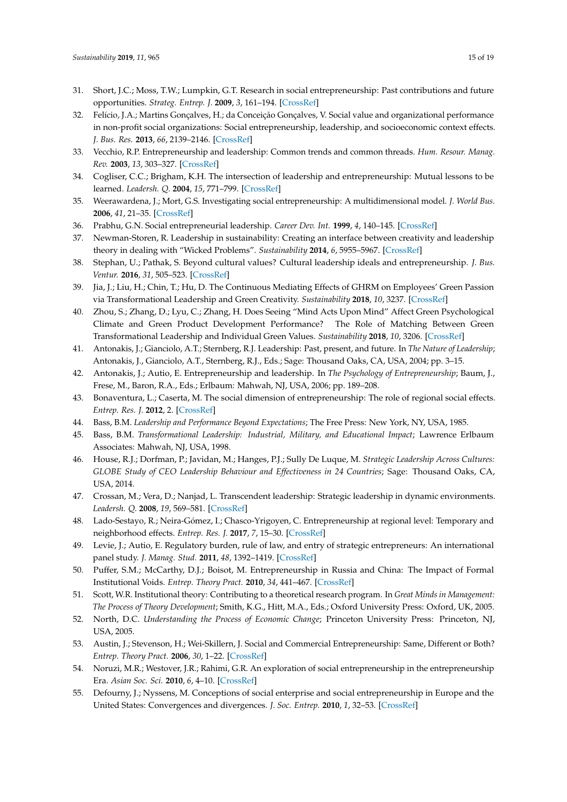- <span id="page-14-0"></span>31. Short, J.C.; Moss, T.W.; Lumpkin, G.T. Research in social entrepreneurship: Past contributions and future opportunities. *Strateg. Entrep. J.* **2009**, *3*, 161–194. [\[CrossRef\]](http://dx.doi.org/10.1002/sej.69)
- <span id="page-14-1"></span>32. Felício, J.A.; Martins Gonçalves, H.; da Conceição Gonçalves, V. Social value and organizational performance in non-profit social organizations: Social entrepreneurship, leadership, and socioeconomic context effects. *J. Bus. Res.* **2013**, *66*, 2139–2146. [\[CrossRef\]](http://dx.doi.org/10.1016/j.jbusres.2013.02.040)
- <span id="page-14-2"></span>33. Vecchio, R.P. Entrepreneurship and leadership: Common trends and common threads. *Hum. Resour. Manag. Rev.* **2003**, *13*, 303–327. [\[CrossRef\]](http://dx.doi.org/10.1016/S1053-4822(03)00019-6)
- <span id="page-14-3"></span>34. Cogliser, C.C.; Brigham, K.H. The intersection of leadership and entrepreneurship: Mutual lessons to be learned. *Leadersh. Q.* **2004**, *15*, 771–799. [\[CrossRef\]](http://dx.doi.org/10.1016/j.leaqua.2004.09.004)
- <span id="page-14-4"></span>35. Weerawardena, J.; Mort, G.S. Investigating social entrepreneurship: A multidimensional model. *J. World Bus.* **2006**, *41*, 21–35. [\[CrossRef\]](http://dx.doi.org/10.1016/j.jwb.2005.09.001)
- 36. Prabhu, G.N. Social entrepreneurial leadership. *Career Dev. Int.* **1999**, *4*, 140–145. [\[CrossRef\]](http://dx.doi.org/10.1108/13620439910262796)
- <span id="page-14-5"></span>37. Newman-Storen, R. Leadership in sustainability: Creating an interface between creativity and leadership theory in dealing with "Wicked Problems". *Sustainability* **2014**, *6*, 5955–5967. [\[CrossRef\]](http://dx.doi.org/10.3390/su6095955)
- <span id="page-14-6"></span>38. Stephan, U.; Pathak, S. Beyond cultural values? Cultural leadership ideals and entrepreneurship. *J. Bus. Ventur.* **2016**, *31*, 505–523. [\[CrossRef\]](http://dx.doi.org/10.1016/j.jbusvent.2016.07.003)
- <span id="page-14-7"></span>39. Jia, J.; Liu, H.; Chin, T.; Hu, D. The Continuous Mediating Effects of GHRM on Employees' Green Passion via Transformational Leadership and Green Creativity. *Sustainability* **2018**, *10*, 3237. [\[CrossRef\]](http://dx.doi.org/10.3390/su10093237)
- <span id="page-14-8"></span>40. Zhou, S.; Zhang, D.; Lyu, C.; Zhang, H. Does Seeing "Mind Acts Upon Mind" Affect Green Psychological Climate and Green Product Development Performance? The Role of Matching Between Green Transformational Leadership and Individual Green Values. *Sustainability* **2018**, *10*, 3206. [\[CrossRef\]](http://dx.doi.org/10.3390/su10093206)
- <span id="page-14-9"></span>41. Antonakis, J.; Gianciolo, A.T.; Sternberg, R.J. Leadership: Past, present, and future. In *The Nature of Leadership*; Antonakis, J., Gianciolo, A.T., Sternberg, R.J., Eds.; Sage: Thousand Oaks, CA, USA, 2004; pp. 3–15.
- <span id="page-14-10"></span>42. Antonakis, J.; Autio, E. Entrepreneurship and leadership. In *The Psychology of Entrepreneurship*; Baum, J., Frese, M., Baron, R.A., Eds.; Erlbaum: Mahwah, NJ, USA, 2006; pp. 189–208.
- <span id="page-14-11"></span>43. Bonaventura, L.; Caserta, M. The social dimension of entrepreneurship: The role of regional social effects. *Entrep. Res. J.* **2012**, 2. [\[CrossRef\]](http://dx.doi.org/10.1515/2157-5665.1079)
- <span id="page-14-12"></span>44. Bass, B.M. *Leadership and Performance Beyond Expectations*; The Free Press: New York, NY, USA, 1985.
- <span id="page-14-13"></span>45. Bass, B.M. *Transformational Leadership: Industrial, Military, and Educational Impact*; Lawrence Erlbaum Associates: Mahwah, NJ, USA, 1998.
- <span id="page-14-14"></span>46. House, R.J.; Dorfman, P.; Javidan, M.; Hanges, P.J.; Sully De Luque, M. *Strategic Leadership Across Cultures: GLOBE Study of CEO Leadership Behaviour and Effectiveness in 24 Countries*; Sage: Thousand Oaks, CA, USA, 2014.
- <span id="page-14-15"></span>47. Crossan, M.; Vera, D.; Nanjad, L. Transcendent leadership: Strategic leadership in dynamic environments. *Leadersh. Q.* **2008**, *19*, 569–581. [\[CrossRef\]](http://dx.doi.org/10.1016/j.leaqua.2008.07.008)
- <span id="page-14-16"></span>48. Lado-Sestayo, R.; Neira-Gómez, I.; Chasco-Yrigoyen, C. Entrepreneurship at regional level: Temporary and neighborhood effects. *Entrep. Res. J.* **2017**, *7*, 15–30. [\[CrossRef\]](http://dx.doi.org/10.1515/erj-2017-0111)
- <span id="page-14-17"></span>49. Levie, J.; Autio, E. Regulatory burden, rule of law, and entry of strategic entrepreneurs: An international panel study. *J. Manag. Stud.* **2011**, *48*, 1392–1419. [\[CrossRef\]](http://dx.doi.org/10.1111/j.1467-6486.2010.01006.x)
- <span id="page-14-18"></span>50. Puffer, S.M.; McCarthy, D.J.; Boisot, M. Entrepreneurship in Russia and China: The Impact of Formal Institutional Voids. *Entrep. Theory Pract.* **2010**, *34*, 441–467. [\[CrossRef\]](http://dx.doi.org/10.1111/j.1540-6520.2009.00353.x)
- <span id="page-14-19"></span>51. Scott, W.R. Institutional theory: Contributing to a theoretical research program. In *Great Minds in Management: The Process of Theory Development*; Smith, K.G., Hitt, M.A., Eds.; Oxford University Press: Oxford, UK, 2005.
- <span id="page-14-20"></span>52. North, D.C. *Understanding the Process of Economic Change*; Princeton University Press: Princeton, NJ, USA, 2005.
- <span id="page-14-21"></span>53. Austin, J.; Stevenson, H.; Wei-Skillern, J. Social and Commercial Entrepreneurship: Same, Different or Both? *Entrep. Theory Pract.* **2006**, *30*, 1–22. [\[CrossRef\]](http://dx.doi.org/10.1111/j.1540-6520.2006.00107.x)
- <span id="page-14-22"></span>54. Noruzi, M.R.; Westover, J.R.; Rahimi, G.R. An exploration of social entrepreneurship in the entrepreneurship Era. *Asian Soc. Sci.* **2010**, *6*, 4–10. [\[CrossRef\]](http://dx.doi.org/10.5539/ass.v6n6p3)
- <span id="page-14-23"></span>55. Defourny, J.; Nyssens, M. Conceptions of social enterprise and social entrepreneurship in Europe and the United States: Convergences and divergences. *J. Soc. Entrep.* **2010**, *1*, 32–53. [\[CrossRef\]](http://dx.doi.org/10.1080/19420670903442053)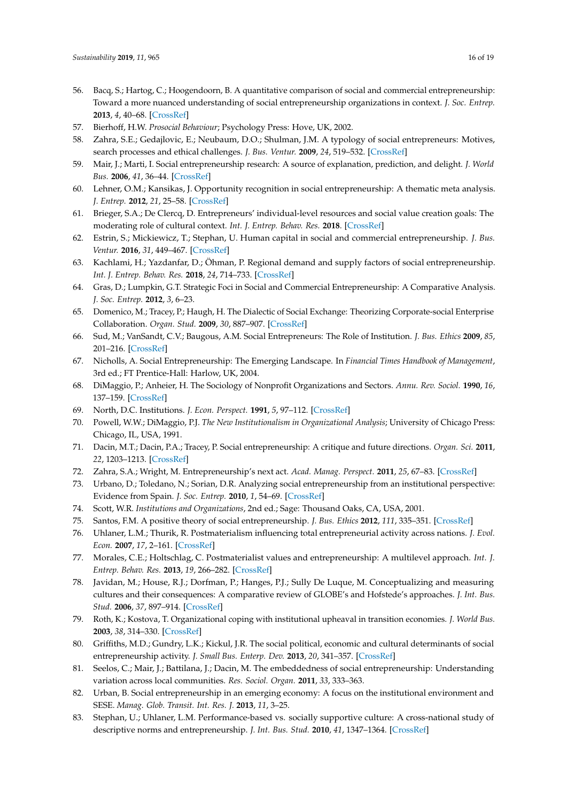- <span id="page-15-0"></span>56. Bacq, S.; Hartog, C.; Hoogendoorn, B. A quantitative comparison of social and commercial entrepreneurship: Toward a more nuanced understanding of social entrepreneurship organizations in context. *J. Soc. Entrep.* **2013**, *4*, 40–68. [\[CrossRef\]](http://dx.doi.org/10.1080/19420676.2012.758653)
- <span id="page-15-1"></span>57. Bierhoff, H.W. *Prosocial Behaviour*; Psychology Press: Hove, UK, 2002.
- <span id="page-15-2"></span>58. Zahra, S.E.; Gedajlovic, E.; Neubaum, D.O.; Shulman, J.M. A typology of social entrepreneurs: Motives, search processes and ethical challenges. *J. Bus. Ventur.* **2009**, *24*, 519–532. [\[CrossRef\]](http://dx.doi.org/10.1016/j.jbusvent.2008.04.007)
- <span id="page-15-3"></span>59. Mair, J.; Marti, I. Social entrepreneurship research: A source of explanation, prediction, and delight. *J. World Bus.* **2006**, *41*, 36–44. [\[CrossRef\]](http://dx.doi.org/10.1016/j.jwb.2005.09.002)
- <span id="page-15-4"></span>60. Lehner, O.M.; Kansikas, J. Opportunity recognition in social entrepreneurship: A thematic meta analysis. *J. Entrep.* **2012**, *21*, 25–58. [\[CrossRef\]](http://dx.doi.org/10.1177/097135571102100102)
- <span id="page-15-5"></span>61. Brieger, S.A.; De Clercq, D. Entrepreneurs' individual-level resources and social value creation goals: The moderating role of cultural context. *Int. J. Entrep. Behav. Res.* **2018**. [\[CrossRef\]](http://dx.doi.org/10.1108/IJEBR-12-2017-0503)
- <span id="page-15-6"></span>62. Estrin, S.; Mickiewicz, T.; Stephan, U. Human capital in social and commercial entrepreneurship. *J. Bus. Ventur.* **2016**, *31*, 449–467. [\[CrossRef\]](http://dx.doi.org/10.1016/j.jbusvent.2016.05.003)
- <span id="page-15-7"></span>63. Kachlami, H.; Yazdanfar, D.; Öhman, P. Regional demand and supply factors of social entrepreneurship. *Int. J. Entrep. Behav. Res.* **2018**, *24*, 714–733. [\[CrossRef\]](http://dx.doi.org/10.1108/IJEBR-09-2016-0292)
- <span id="page-15-8"></span>64. Gras, D.; Lumpkin, G.T. Strategic Foci in Social and Commercial Entrepreneurship: A Comparative Analysis. *J. Soc. Entrep.* **2012**, *3*, 6–23.
- <span id="page-15-9"></span>65. Domenico, M.; Tracey, P.; Haugh, H. The Dialectic of Social Exchange: Theorizing Corporate-social Enterprise Collaboration. *Organ. Stud.* **2009**, *30*, 887–907. [\[CrossRef\]](http://dx.doi.org/10.1177/0170840609334954)
- <span id="page-15-10"></span>66. Sud, M.; VanSandt, C.V.; Baugous, A.M. Social Entrepreneurs: The Role of Institution. *J. Bus. Ethics* **2009**, *85*, 201–216. [\[CrossRef\]](http://dx.doi.org/10.1007/s10551-008-9939-1)
- <span id="page-15-11"></span>67. Nicholls, A. Social Entrepreneurship: The Emerging Landscape. In *Financial Times Handbook of Management*, 3rd ed.; FT Prentice-Hall: Harlow, UK, 2004.
- <span id="page-15-12"></span>68. DiMaggio, P.; Anheier, H. The Sociology of Nonprofit Organizations and Sectors. *Annu. Rev. Sociol.* **1990**, *16*, 137–159. [\[CrossRef\]](http://dx.doi.org/10.1146/annurev.so.16.080190.001033)
- <span id="page-15-13"></span>69. North, D.C. Institutions. *J. Econ. Perspect.* **1991**, *5*, 97–112. [\[CrossRef\]](http://dx.doi.org/10.1257/jep.5.1.97)
- <span id="page-15-14"></span>70. Powell, W.W.; DiMaggio, P.J. *The New Institutionalism in Organizational Analysis*; University of Chicago Press: Chicago, IL, USA, 1991.
- <span id="page-15-15"></span>71. Dacin, M.T.; Dacin, P.A.; Tracey, P. Social entrepreneurship: A critique and future directions. *Organ. Sci.* **2011**, *22*, 1203–1213. [\[CrossRef\]](http://dx.doi.org/10.1287/orsc.1100.0620)
- <span id="page-15-16"></span>72. Zahra, S.A.; Wright, M. Entrepreneurship's next act. *Acad. Manag. Perspect.* **2011**, *25*, 67–83. [\[CrossRef\]](http://dx.doi.org/10.5465/amp.2010.0149)
- <span id="page-15-17"></span>73. Urbano, D.; Toledano, N.; Sorian, D.R. Analyzing social entrepreneurship from an institutional perspective: Evidence from Spain. *J. Soc. Entrep.* **2010**, *1*, 54–69. [\[CrossRef\]](http://dx.doi.org/10.1080/19420670903442061)
- <span id="page-15-18"></span>74. Scott, W.R. *Institutions and Organizations*, 2nd ed.; Sage: Thousand Oaks, CA, USA, 2001.
- <span id="page-15-19"></span>75. Santos, F.M. A positive theory of social entrepreneurship. *J. Bus. Ethics* **2012**, *111*, 335–351. [\[CrossRef\]](http://dx.doi.org/10.1007/s10551-012-1413-4)
- <span id="page-15-20"></span>76. Uhlaner, L.M.; Thurik, R. Postmaterialism influencing total entrepreneurial activity across nations. *J. Evol. Econ.* **2007**, *17*, 2–161. [\[CrossRef\]](http://dx.doi.org/10.1007/s00191-006-0046-0)
- <span id="page-15-21"></span>77. Morales, C.E.; Holtschlag, C. Postmaterialist values and entrepreneurship: A multilevel approach. *Int. J. Entrep. Behav. Res.* **2013**, *19*, 266–282. [\[CrossRef\]](http://dx.doi.org/10.1108/13552551311330174)
- <span id="page-15-22"></span>78. Javidan, M.; House, R.J.; Dorfman, P.; Hanges, P.J.; Sully De Luque, M. Conceptualizing and measuring cultures and their consequences: A comparative review of GLOBE's and Hofstede's approaches. *J. Int. Bus. Stud.* **2006**, *37*, 897–914. [\[CrossRef\]](http://dx.doi.org/10.1057/palgrave.jibs.8400234)
- <span id="page-15-23"></span>79. Roth, K.; Kostova, T. Organizational coping with institutional upheaval in transition economies. *J. World Bus.* **2003**, *38*, 314–330. [\[CrossRef\]](http://dx.doi.org/10.1016/j.jwb.2003.08.018)
- <span id="page-15-24"></span>80. Griffiths, M.D.; Gundry, L.K.; Kickul, J.R. The social political, economic and cultural determinants of social entrepreneurship activity. *J. Small Bus. Enterp. Dev.* **2013**, *20*, 341–357. [\[CrossRef\]](http://dx.doi.org/10.1108/14626001311326761)
- <span id="page-15-25"></span>81. Seelos, C.; Mair, J.; Battilana, J.; Dacin, M. The embeddedness of social entrepreneurship: Understanding variation across local communities. *Res. Sociol. Organ.* **2011**, *33*, 333–363.
- <span id="page-15-26"></span>82. Urban, B. Social entrepreneurship in an emerging economy: A focus on the institutional environment and SESE. *Manag. Glob. Transit. Int. Res. J.* **2013**, *11*, 3–25.
- <span id="page-15-27"></span>83. Stephan, U.; Uhlaner, L.M. Performance-based vs. socially supportive culture: A cross-national study of descriptive norms and entrepreneurship. *J. Int. Bus. Stud.* **2010**, *41*, 1347–1364. [\[CrossRef\]](http://dx.doi.org/10.1057/jibs.2010.14)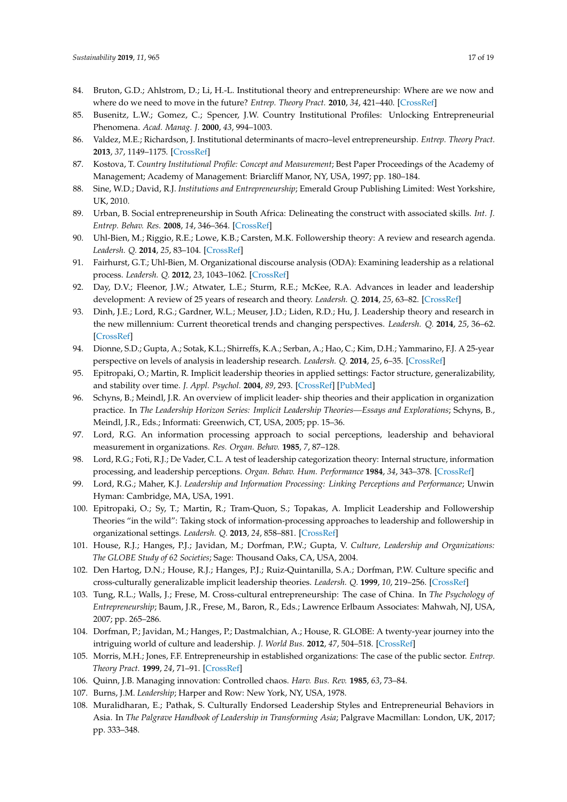- <span id="page-16-0"></span>84. Bruton, G.D.; Ahlstrom, D.; Li, H.-L. Institutional theory and entrepreneurship: Where are we now and where do we need to move in the future? *Entrep. Theory Pract.* **2010**, *34*, 421–440. [\[CrossRef\]](http://dx.doi.org/10.1111/j.1540-6520.2010.00390.x)
- <span id="page-16-1"></span>85. Busenitz, L.W.; Gomez, C.; Spencer, J.W. Country Institutional Profiles: Unlocking Entrepreneurial Phenomena. *Acad. Manag. J.* **2000**, *43*, 994–1003.
- <span id="page-16-2"></span>86. Valdez, M.E.; Richardson, J. Institutional determinants of macro–level entrepreneurship. *Entrep. Theory Pract.* **2013**, *37*, 1149–1175. [\[CrossRef\]](http://dx.doi.org/10.1111/etap.12000)
- <span id="page-16-3"></span>87. Kostova, T. *Country Institutional Profile: Concept and Measurement*; Best Paper Proceedings of the Academy of Management; Academy of Management: Briarcliff Manor, NY, USA, 1997; pp. 180–184.
- <span id="page-16-4"></span>88. Sine, W.D.; David, R.J. *Institutions and Entrepreneurship*; Emerald Group Publishing Limited: West Yorkshire, UK, 2010.
- <span id="page-16-5"></span>89. Urban, B. Social entrepreneurship in South Africa: Delineating the construct with associated skills. *Int. J. Entrep. Behav. Res.* **2008**, *14*, 346–364. [\[CrossRef\]](http://dx.doi.org/10.1108/13552550810897696)
- <span id="page-16-6"></span>90. Uhl-Bien, M.; Riggio, R.E.; Lowe, K.B.; Carsten, M.K. Followership theory: A review and research agenda. *Leadersh. Q.* **2014**, *25*, 83–104. [\[CrossRef\]](http://dx.doi.org/10.1016/j.leaqua.2013.11.007)
- <span id="page-16-7"></span>91. Fairhurst, G.T.; Uhl-Bien, M. Organizational discourse analysis (ODA): Examining leadership as a relational process. *Leadersh. Q.* **2012**, *23*, 1043–1062. [\[CrossRef\]](http://dx.doi.org/10.1016/j.leaqua.2012.10.005)
- <span id="page-16-8"></span>92. Day, D.V.; Fleenor, J.W.; Atwater, L.E.; Sturm, R.E.; McKee, R.A. Advances in leader and leadership development: A review of 25 years of research and theory. *Leadersh. Q.* **2014**, *25*, 63–82. [\[CrossRef\]](http://dx.doi.org/10.1016/j.leaqua.2013.11.004)
- <span id="page-16-9"></span>93. Dinh, J.E.; Lord, R.G.; Gardner, W.L.; Meuser, J.D.; Liden, R.D.; Hu, J. Leadership theory and research in the new millennium: Current theoretical trends and changing perspectives. *Leadersh. Q.* **2014**, *25*, 36–62. [\[CrossRef\]](http://dx.doi.org/10.1016/j.leaqua.2013.11.005)
- <span id="page-16-10"></span>94. Dionne, S.D.; Gupta, A.; Sotak, K.L.; Shirreffs, K.A.; Serban, A.; Hao, C.; Kim, D.H.; Yammarino, F.J. A 25-year perspective on levels of analysis in leadership research. *Leadersh. Q.* **2014**, *25*, 6–35. [\[CrossRef\]](http://dx.doi.org/10.1016/j.leaqua.2013.11.002)
- <span id="page-16-11"></span>95. Epitropaki, O.; Martin, R. Implicit leadership theories in applied settings: Factor structure, generalizability, and stability over time. *J. Appl. Psychol.* **2004**, *89*, 293. [\[CrossRef\]](http://dx.doi.org/10.1037/0021-9010.89.2.293) [\[PubMed\]](http://www.ncbi.nlm.nih.gov/pubmed/15065976)
- <span id="page-16-12"></span>96. Schyns, B.; Meindl, J.R. An overview of implicit leader- ship theories and their application in organization practice. In *The Leadership Horizon Series: Implicit Leadership Theories—Essays and Explorations*; Schyns, B., Meindl, J.R., Eds.; Informati: Greenwich, CT, USA, 2005; pp. 15–36.
- <span id="page-16-13"></span>97. Lord, R.G. An information processing approach to social perceptions, leadership and behavioral measurement in organizations. *Res. Organ. Behav.* **1985**, *7*, 87–128.
- <span id="page-16-14"></span>98. Lord, R.G.; Foti, R.J.; De Vader, C.L. A test of leadership categorization theory: Internal structure, information processing, and leadership perceptions. *Organ. Behav. Hum. Performance* **1984**, *34*, 343–378. [\[CrossRef\]](http://dx.doi.org/10.1016/0030-5073(84)90043-6)
- <span id="page-16-15"></span>99. Lord, R.G.; Maher, K.J. *Leadership and Information Processing: Linking Perceptions and Performance*; Unwin Hyman: Cambridge, MA, USA, 1991.
- <span id="page-16-16"></span>100. Epitropaki, O.; Sy, T.; Martin, R.; Tram-Quon, S.; Topakas, A. Implicit Leadership and Followership Theories "in the wild": Taking stock of information-processing approaches to leadership and followership in organizational settings. *Leadersh. Q.* **2013**, *24*, 858–881. [\[CrossRef\]](http://dx.doi.org/10.1016/j.leaqua.2013.10.005)
- <span id="page-16-17"></span>101. House, R.J.; Hanges, P.J.; Javidan, M.; Dorfman, P.W.; Gupta, V. *Culture, Leadership and Organizations: The GLOBE Study of 62 Societies*; Sage: Thousand Oaks, CA, USA, 2004.
- <span id="page-16-18"></span>102. Den Hartog, D.N.; House, R.J.; Hanges, P.J.; Ruiz-Quintanilla, S.A.; Dorfman, P.W. Culture specific and cross-culturally generalizable implicit leadership theories. *Leadersh. Q.* **1999**, *10*, 219–256. [\[CrossRef\]](http://dx.doi.org/10.1016/S1048-9843(99)00018-1)
- <span id="page-16-19"></span>103. Tung, R.L.; Walls, J.; Frese, M. Cross-cultural entrepreneurship: The case of China. In *The Psychology of Entrepreneurship*; Baum, J.R., Frese, M., Baron, R., Eds.; Lawrence Erlbaum Associates: Mahwah, NJ, USA, 2007; pp. 265–286.
- <span id="page-16-20"></span>104. Dorfman, P.; Javidan, M.; Hanges, P.; Dastmalchian, A.; House, R. GLOBE: A twenty-year journey into the intriguing world of culture and leadership. *J. World Bus.* **2012**, *47*, 504–518. [\[CrossRef\]](http://dx.doi.org/10.1016/j.jwb.2012.01.004)
- <span id="page-16-21"></span>105. Morris, M.H.; Jones, F.F. Entrepreneurship in established organizations: The case of the public sector. *Entrep. Theory Pract.* **1999**, *24*, 71–91. [\[CrossRef\]](http://dx.doi.org/10.1177/104225879902400105)
- <span id="page-16-22"></span>106. Quinn, J.B. Managing innovation: Controlled chaos. *Harv. Bus. Rev.* **1985**, *63*, 73–84.
- <span id="page-16-23"></span>107. Burns, J.M. *Leadership*; Harper and Row: New York, NY, USA, 1978.
- <span id="page-16-24"></span>108. Muralidharan, E.; Pathak, S. Culturally Endorsed Leadership Styles and Entrepreneurial Behaviors in Asia. In *The Palgrave Handbook of Leadership in Transforming Asia*; Palgrave Macmillan: London, UK, 2017; pp. 333–348.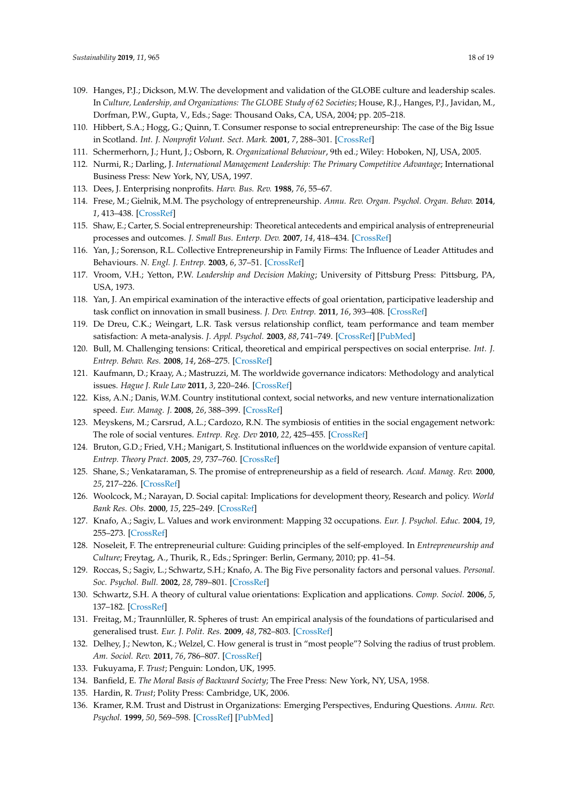- <span id="page-17-0"></span>109. Hanges, P.J.; Dickson, M.W. The development and validation of the GLOBE culture and leadership scales. In *Culture, Leadership, and Organizations: The GLOBE Study of 62 Societies*; House, R.J., Hanges, P.J., Javidan, M., Dorfman, P.W., Gupta, V., Eds.; Sage: Thousand Oaks, CA, USA, 2004; pp. 205–218.
- <span id="page-17-1"></span>110. Hibbert, S.A.; Hogg, G.; Quinn, T. Consumer response to social entrepreneurship: The case of the Big Issue in Scotland. *Int. J. Nonprofit Volunt. Sect. Mark.* **2001**, *7*, 288–301. [\[CrossRef\]](http://dx.doi.org/10.1002/nvsm.186)
- <span id="page-17-2"></span>111. Schermerhorn, J.; Hunt, J.; Osborn, R. *Organizational Behaviour*, 9th ed.; Wiley: Hoboken, NJ, USA, 2005.
- <span id="page-17-3"></span>112. Nurmi, R.; Darling, J. *International Management Leadership: The Primary Competitive Advantage*; International Business Press: New York, NY, USA, 1997.
- <span id="page-17-4"></span>113. Dees, J. Enterprising nonprofits. *Harv. Bus. Rev.* **1988**, *76*, 55–67.
- <span id="page-17-5"></span>114. Frese, M.; Gielnik, M.M. The psychology of entrepreneurship. *Annu. Rev. Organ. Psychol. Organ. Behav.* **2014**, *1*, 413–438. [\[CrossRef\]](http://dx.doi.org/10.1146/annurev-orgpsych-031413-091326)
- <span id="page-17-6"></span>115. Shaw, E.; Carter, S. Social entrepreneurship: Theoretical antecedents and empirical analysis of entrepreneurial processes and outcomes. *J. Small Bus. Enterp. Dev.* **2007**, *14*, 418–434. [\[CrossRef\]](http://dx.doi.org/10.1108/14626000710773529)
- <span id="page-17-7"></span>116. Yan, J.; Sorenson, R.L. Collective Entrepreneurship in Family Firms: The Influence of Leader Attitudes and Behaviours. *N. Engl. J. Entrep.* **2003**, *6*, 37–51. [\[CrossRef\]](http://dx.doi.org/10.1108/NEJE-06-02-2003-B007)
- <span id="page-17-8"></span>117. Vroom, V.H.; Yetton, P.W. *Leadership and Decision Making*; University of Pittsburg Press: Pittsburg, PA, USA, 1973.
- <span id="page-17-9"></span>118. Yan, J. An empirical examination of the interactive effects of goal orientation, participative leadership and task conflict on innovation in small business. *J. Dev. Entrep.* **2011**, *16*, 393–408. [\[CrossRef\]](http://dx.doi.org/10.1142/S1084946711001896)
- <span id="page-17-10"></span>119. De Dreu, C.K.; Weingart, L.R. Task versus relationship conflict, team performance and team member satisfaction: A meta-analysis. *J. Appl. Psychol.* **2003**, *88*, 741–749. [\[CrossRef\]](http://dx.doi.org/10.1037/0021-9010.88.4.741) [\[PubMed\]](http://www.ncbi.nlm.nih.gov/pubmed/12940412)
- <span id="page-17-11"></span>120. Bull, M. Challenging tensions: Critical, theoretical and empirical perspectives on social enterprise. *Int. J. Entrep. Behav. Res.* **2008**, *14*, 268–275. [\[CrossRef\]](http://dx.doi.org/10.1108/13552550810897641)
- <span id="page-17-12"></span>121. Kaufmann, D.; Kraay, A.; Mastruzzi, M. The worldwide governance indicators: Methodology and analytical issues. *Hague J. Rule Law* **2011**, *3*, 220–246. [\[CrossRef\]](http://dx.doi.org/10.1017/S1876404511200046)
- <span id="page-17-13"></span>122. Kiss, A.N.; Danis, W.M. Country institutional context, social networks, and new venture internationalization speed. *Eur. Manag. J.* **2008**, *26*, 388–399. [\[CrossRef\]](http://dx.doi.org/10.1016/j.emj.2008.09.001)
- <span id="page-17-14"></span>123. Meyskens, M.; Carsrud, A.L.; Cardozo, R.N. The symbiosis of entities in the social engagement network: The role of social ventures. *Entrep. Reg. Dev* **2010**, *22*, 425–455. [\[CrossRef\]](http://dx.doi.org/10.1080/08985620903168299)
- <span id="page-17-15"></span>124. Bruton, G.D.; Fried, V.H.; Manigart, S. Institutional influences on the worldwide expansion of venture capital. *Entrep. Theory Pract.* **2005**, *29*, 737–760. [\[CrossRef\]](http://dx.doi.org/10.1111/j.1540-6520.2005.00106.x)
- <span id="page-17-16"></span>125. Shane, S.; Venkataraman, S. The promise of entrepreneurship as a field of research. *Acad. Manag. Rev.* **2000**, *25*, 217–226. [\[CrossRef\]](http://dx.doi.org/10.5465/amr.2000.2791611)
- <span id="page-17-17"></span>126. Woolcock, M.; Narayan, D. Social capital: Implications for development theory, Research and policy. *World Bank Res. Obs.* **2000**, *15*, 225–249. [\[CrossRef\]](http://dx.doi.org/10.1093/wbro/15.2.225)
- <span id="page-17-18"></span>127. Knafo, A.; Sagiv, L. Values and work environment: Mapping 32 occupations. *Eur. J. Psychol. Educ.* **2004**, *19*, 255–273. [\[CrossRef\]](http://dx.doi.org/10.1007/BF03173223)
- <span id="page-17-19"></span>128. Noseleit, F. The entrepreneurial culture: Guiding principles of the self-employed. In *Entrepreneurship and Culture*; Freytag, A., Thurik, R., Eds.; Springer: Berlin, Germany, 2010; pp. 41–54.
- <span id="page-17-20"></span>129. Roccas, S.; Sagiv, L.; Schwartz, S.H.; Knafo, A. The Big Five personality factors and personal values. *Personal. Soc. Psychol. Bull.* **2002**, *28*, 789–801. [\[CrossRef\]](http://dx.doi.org/10.1177/0146167202289008)
- <span id="page-17-21"></span>130. Schwartz, S.H. A theory of cultural value orientations: Explication and applications. *Comp. Sociol.* **2006**, *5*, 137–182. [\[CrossRef\]](http://dx.doi.org/10.1163/156913306778667357)
- <span id="page-17-22"></span>131. Freitag, M.; Traunnlüller, R. Spheres of trust: An empirical analysis of the foundations of particularised and generalised trust. *Eur. J. Polit. Res.* **2009**, *48*, 782–803. [\[CrossRef\]](http://dx.doi.org/10.1111/j.1475-6765.2009.00849.x)
- <span id="page-17-23"></span>132. Delhey, J.; Newton, K.; Welzel, C. How general is trust in "most people"? Solving the radius of trust problem. *Am. Sociol. Rev.* **2011**, *76*, 786–807. [\[CrossRef\]](http://dx.doi.org/10.1177/0003122411420817)
- <span id="page-17-24"></span>133. Fukuyama, F. *Trust*; Penguin: London, UK, 1995.
- <span id="page-17-25"></span>134. Banfield, E. *The Moral Basis of Backward Society*; The Free Press: New York, NY, USA, 1958.
- <span id="page-17-26"></span>135. Hardin, R. *Trust*; Polity Press: Cambridge, UK, 2006.
- <span id="page-17-27"></span>136. Kramer, R.M. Trust and Distrust in Organizations: Emerging Perspectives, Enduring Questions. *Annu. Rev. Psychol.* **1999**, *50*, 569–598. [\[CrossRef\]](http://dx.doi.org/10.1146/annurev.psych.50.1.569) [\[PubMed\]](http://www.ncbi.nlm.nih.gov/pubmed/15012464)